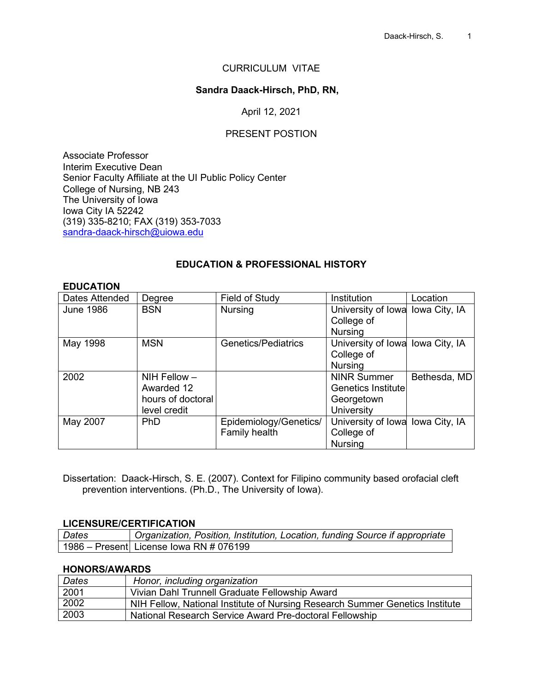#### CURRICULUM VITAE

#### **Sandra Daack-Hirsch, PhD, RN,**

#### April 12, 2021

#### PRESENT POSTION

Associate Professor Interim Executive Dean Senior Faculty Affiliate at the UI Public Policy Center College of Nursing, NB 243 The University of Iowa Iowa City IA 52242 (319) 335-8210; FAX (319) 353-7033 [sandra-daack-hirsch@uiowa.edu](mailto:sandra-daack-hirsch@uiowa.edu)

#### **EDUCATION & PROFESSIONAL HISTORY**

#### **EDUCATION**

| Dates Attended   | Degree            | Field of Study         | Institution                       | Location     |
|------------------|-------------------|------------------------|-----------------------------------|--------------|
| <b>June 1986</b> | <b>BSN</b>        | <b>Nursing</b>         | University of Iowa Iowa City, IA  |              |
|                  |                   |                        | College of                        |              |
|                  |                   |                        | <b>Nursing</b>                    |              |
| May 1998         | <b>MSN</b>        | Genetics/Pediatrics    | University of Iowal Iowa City, IA |              |
|                  |                   |                        | College of                        |              |
|                  |                   |                        | <b>Nursing</b>                    |              |
| 2002             | $NIH$ Fellow $-$  |                        | <b>NINR Summer</b>                | Bethesda, MD |
|                  | Awarded 12        |                        | <b>Genetics Institute</b>         |              |
|                  | hours of doctoral |                        | Georgetown                        |              |
|                  | level credit      |                        | University                        |              |
| May 2007         | PhD               | Epidemiology/Genetics/ | University of Iowal Iowa City, IA |              |
|                  |                   | Family health          | College of                        |              |
|                  |                   |                        | <b>Nursing</b>                    |              |

Dissertation: Daack-Hirsch, S. E. (2007). Context for Filipino community based orofacial cleft prevention interventions. (Ph.D., The University of Iowa).

#### **LICENSURE/CERTIFICATION**

| Dates | Organization, Position, Institution, Location, funding Source if appropriate |
|-------|------------------------------------------------------------------------------|
|       | 1986 – Presentl License Iowa RN # 076199                                     |

#### **HONORS/AWARDS**

| Dates | Honor, including organization                                                |
|-------|------------------------------------------------------------------------------|
| 2001  | Vivian Dahl Trunnell Graduate Fellowship Award                               |
| 2002  | NIH Fellow, National Institute of Nursing Research Summer Genetics Institute |
| 2003  | National Research Service Award Pre-doctoral Fellowship                      |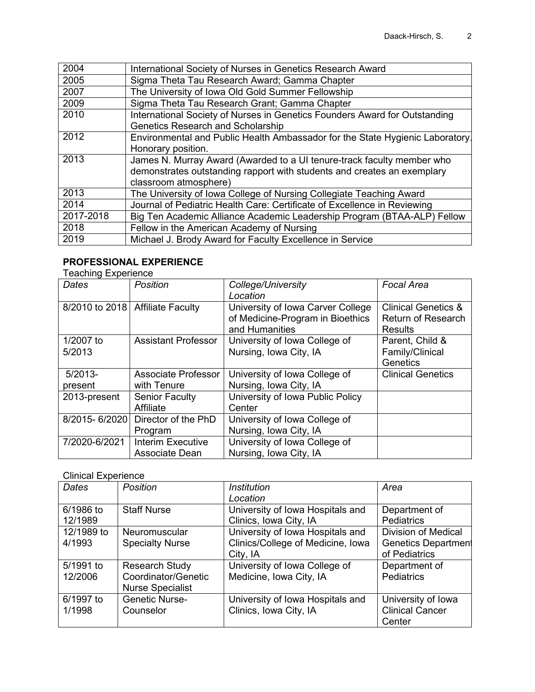| 2004      | International Society of Nurses in Genetics Research Award                    |
|-----------|-------------------------------------------------------------------------------|
| 2005      | Sigma Theta Tau Research Award; Gamma Chapter                                 |
| 2007      | The University of Iowa Old Gold Summer Fellowship                             |
| 2009      | Sigma Theta Tau Research Grant; Gamma Chapter                                 |
| 2010      | International Society of Nurses in Genetics Founders Award for Outstanding    |
|           | <b>Genetics Research and Scholarship</b>                                      |
| 2012      | Environmental and Public Health Ambassador for the State Hygienic Laboratory. |
|           | Honorary position.                                                            |
| 2013      | James N. Murray Award (Awarded to a UI tenure-track faculty member who        |
|           | demonstrates outstanding rapport with students and creates an exemplary       |
|           | classroom atmosphere)                                                         |
| 2013      | The University of Iowa College of Nursing Collegiate Teaching Award           |
| 2014      | Journal of Pediatric Health Care: Certificate of Excellence in Reviewing      |
| 2017-2018 | Big Ten Academic Alliance Academic Leadership Program (BTAA-ALP) Fellow       |
| 2018      | Fellow in the American Academy of Nursing                                     |
| 2019      | Michael J. Brody Award for Faculty Excellence in Service                      |

# **PROFESSIONAL EXPERIENCE**

Teaching Experience

| Dates         | Position                           | College/University                | <b>Focal Area</b>              |
|---------------|------------------------------------|-----------------------------------|--------------------------------|
|               |                                    | Location                          |                                |
|               | 8/2010 to 2018   Affiliate Faculty | University of Iowa Carver College | <b>Clinical Genetics &amp;</b> |
|               |                                    | of Medicine-Program in Bioethics  | <b>Return of Research</b>      |
|               |                                    | and Humanities                    | <b>Results</b>                 |
| 1/2007 to     | <b>Assistant Professor</b>         | University of Iowa College of     | Parent, Child &                |
| 5/2013        |                                    | Nursing, Iowa City, IA            | Family/Clinical                |
|               |                                    |                                   | Genetics                       |
| $5/2013-$     | Associate Professor                | University of Iowa College of     | <b>Clinical Genetics</b>       |
| present       | with Tenure                        | Nursing, Iowa City, IA            |                                |
| 2013-present  | <b>Senior Faculty</b>              | University of Iowa Public Policy  |                                |
|               | Affiliate                          | Center                            |                                |
| 8/2015-6/2020 | Director of the PhD                | University of Iowa College of     |                                |
|               | Program                            | Nursing, Iowa City, IA            |                                |
| 7/2020-6/2021 | <b>Interim Executive</b>           | University of Iowa College of     |                                |
|               | Associate Dean                     | Nursing, Iowa City, IA            |                                |

## Clinical Experience

| <b>Dates</b> | <b>Position</b>         | <b>Institution</b>                | Area                       |
|--------------|-------------------------|-----------------------------------|----------------------------|
|              |                         | Location                          |                            |
| 6/1986 to    | <b>Staff Nurse</b>      | University of Iowa Hospitals and  | Department of              |
| 12/1989      |                         | Clinics, Iowa City, IA            | <b>Pediatrics</b>          |
| 12/1989 to   | Neuromuscular           | University of Iowa Hospitals and  | <b>Division of Medical</b> |
| 4/1993       | <b>Specialty Nurse</b>  | Clinics/College of Medicine, Iowa | <b>Genetics Department</b> |
|              |                         | City, IA                          | of Pediatrics              |
| 5/1991 to    | <b>Research Study</b>   | University of Iowa College of     | Department of              |
| 12/2006      | Coordinator/Genetic     | Medicine, Iowa City, IA           | <b>Pediatrics</b>          |
|              | <b>Nurse Specialist</b> |                                   |                            |
| 6/1997 to    | <b>Genetic Nurse-</b>   | University of Iowa Hospitals and  | University of Iowa         |
| 1/1998       | Counselor               | Clinics, Iowa City, IA            | <b>Clinical Cancer</b>     |
|              |                         |                                   | Center                     |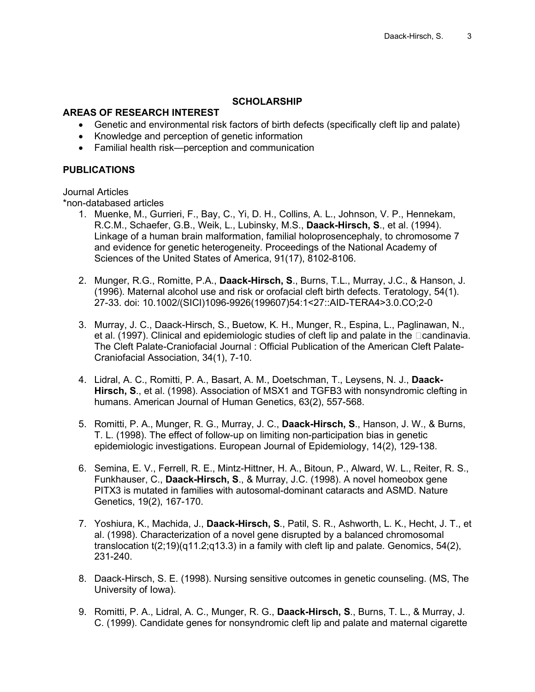#### **SCHOLARSHIP**

#### **AREAS OF RESEARCH INTEREST**

- Genetic and environmental risk factors of birth defects (specifically cleft lip and palate)
- Knowledge and perception of genetic information
- Familial health risk—perception and communication

#### **PUBLICATIONS**

Journal Articles

\*non-databased articles

- 1. Muenke, M., Gurrieri, F., Bay, C., Yi, D. H., Collins, A. L., Johnson, V. P., Hennekam, R.C.M., Schaefer, G.B., Weik, L., Lubinsky, M.S., **Daack-Hirsch, S**., et al. (1994). Linkage of a human brain malformation, familial holoprosencephaly, to chromosome 7 and evidence for genetic heterogeneity. Proceedings of the National Academy of Sciences of the United States of America, 91(17), 8102-8106.
- 2. Munger, R.G., Romitte, P.A., **Daack-Hirsch, S**., Burns, T.L., Murray, J.C., & Hanson, J. (1996). Maternal alcohol use and risk or orofacial cleft birth defects. Teratology, 54(1). 27-33. doi: 10.1002/(SICI)1096-9926(199607)54:1<27::AID-TERA4>3.0.CO;2-0
- 3. Murray, J. C., Daack-Hirsch, S., Buetow, K. H., Munger, R., Espina, L., Paglinawan, N., et al. (1997). Clinical and epidemiologic studies of cleft lip and palate in the  $\Box$ candinavia. The Cleft Palate-Craniofacial Journal : Official Publication of the American Cleft Palate-Craniofacial Association, 34(1), 7-10.
- 4. Lidral, A. C., Romitti, P. A., Basart, A. M., Doetschman, T., Leysens, N. J., **Daack-Hirsch, S**., et al. (1998). Association of MSX1 and TGFB3 with nonsyndromic clefting in humans. American Journal of Human Genetics, 63(2), 557-568.
- 5. Romitti, P. A., Munger, R. G., Murray, J. C., **Daack-Hirsch, S**., Hanson, J. W., & Burns, T. L. (1998). The effect of follow-up on limiting non-participation bias in genetic epidemiologic investigations. European Journal of Epidemiology, 14(2), 129-138.
- 6. Semina, E. V., Ferrell, R. E., Mintz-Hittner, H. A., Bitoun, P., Alward, W. L., Reiter, R. S., Funkhauser, C., **Daack-Hirsch, S**., & Murray, J.C. (1998). A novel homeobox gene PITX3 is mutated in families with autosomal-dominant cataracts and ASMD. Nature Genetics, 19(2), 167-170.
- 7. Yoshiura, K., Machida, J., **Daack-Hirsch, S**., Patil, S. R., Ashworth, L. K., Hecht, J. T., et al. (1998). Characterization of a novel gene disrupted by a balanced chromosomal translocation  $t(2,19)(q11.2q13.3)$  in a family with cleft lip and palate. Genomics,  $54(2)$ , 231-240.
- 8. Daack-Hirsch, S. E. (1998). Nursing sensitive outcomes in genetic counseling. (MS, The University of Iowa).
- 9. Romitti, P. A., Lidral, A. C., Munger, R. G., **Daack-Hirsch, S**., Burns, T. L., & Murray, J. C. (1999). Candidate genes for nonsyndromic cleft lip and palate and maternal cigarette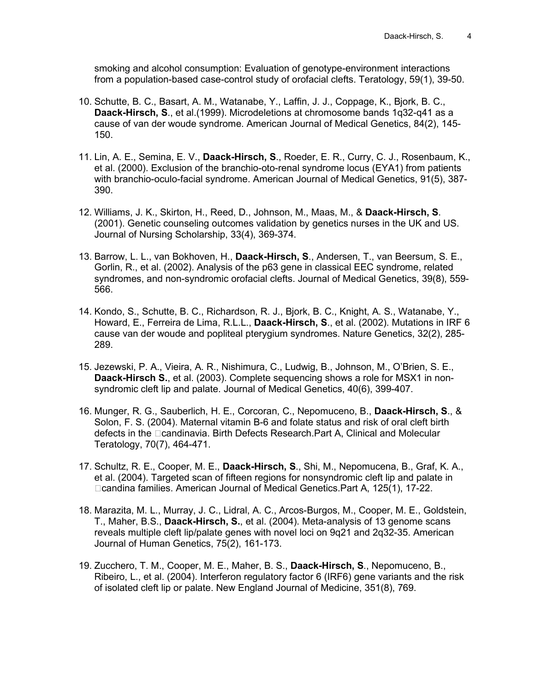smoking and alcohol consumption: Evaluation of genotype-environment interactions from a population-based case-control study of orofacial clefts. Teratology, 59(1), 39-50.

- 10. Schutte, B. C., Basart, A. M., Watanabe, Y., Laffin, J. J., Coppage, K., Bjork, B. C., **Daack-Hirsch, S**., et al.(1999). Microdeletions at chromosome bands 1q32-q41 as a cause of van der woude syndrome. American Journal of Medical Genetics, 84(2), 145- 150.
- 11. Lin, A. E., Semina, E. V., **Daack-Hirsch, S**., Roeder, E. R., Curry, C. J., Rosenbaum, K., et al. (2000). Exclusion of the branchio-oto-renal syndrome locus (EYA1) from patients with branchio-oculo-facial syndrome. American Journal of Medical Genetics, 91(5), 387- 390.
- 12. Williams, J. K., Skirton, H., Reed, D., Johnson, M., Maas, M., & **Daack-Hirsch, S**. (2001). Genetic counseling outcomes validation by genetics nurses in the UK and US. Journal of Nursing Scholarship, 33(4), 369-374.
- 13. Barrow, L. L., van Bokhoven, H., **Daack-Hirsch, S**., Andersen, T., van Beersum, S. E., Gorlin, R., et al. (2002). Analysis of the p63 gene in classical EEC syndrome, related syndromes, and non-syndromic orofacial clefts. Journal of Medical Genetics, 39(8), 559- 566.
- 14. Kondo, S., Schutte, B. C., Richardson, R. J., Bjork, B. C., Knight, A. S., Watanabe, Y., Howard, E., Ferreira de Lima, R.L.L., **Daack-Hirsch, S**., et al. (2002). Mutations in IRF 6 cause van der woude and popliteal pterygium syndromes. Nature Genetics, 32(2), 285- 289.
- 15. Jezewski, P. A., Vieira, A. R., Nishimura, C., Ludwig, B., Johnson, M., O'Brien, S. E., **Daack-Hirsch S.**, et al. (2003). Complete sequencing shows a role for MSX1 in nonsyndromic cleft lip and palate. Journal of Medical Genetics, 40(6), 399-407.
- 16. Munger, R. G., Sauberlich, H. E., Corcoran, C., Nepomuceno, B., **Daack-Hirsch, S**., & Solon, F. S. (2004). Maternal vitamin B-6 and folate status and risk of oral cleft birth defects in the Deandinavia. Birth Defects Research.Part A, Clinical and Molecular Teratology, 70(7), 464-471.
- 17. Schultz, R. E., Cooper, M. E., **Daack-Hirsch, S**., Shi, M., Nepomucena, B., Graf, K. A., et al. (2004). Targeted scan of fifteen regions for nonsyndromic cleft lip and palate in □candina families. American Journal of Medical Genetics.Part A, 125(1), 17-22.
- 18. Marazita, M. L., Murray, J. C., Lidral, A. C., Arcos-Burgos, M., Cooper, M. E., Goldstein, T., Maher, B.S., **Daack-Hirsch, S.**, et al. (2004). Meta-analysis of 13 genome scans reveals multiple cleft lip/palate genes with novel loci on 9q21 and 2q32-35. American Journal of Human Genetics, 75(2), 161-173.
- 19. Zucchero, T. M., Cooper, M. E., Maher, B. S., **Daack-Hirsch, S**., Nepomuceno, B., Ribeiro, L., et al. (2004). Interferon regulatory factor 6 (IRF6) gene variants and the risk of isolated cleft lip or palate. New England Journal of Medicine, 351(8), 769.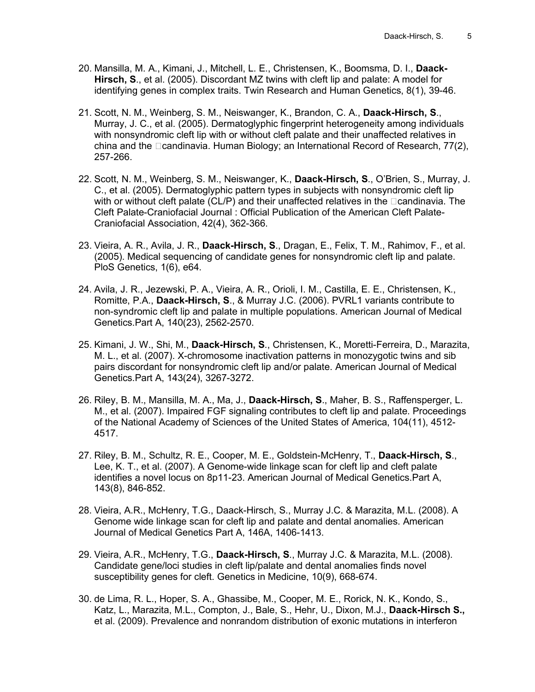- 20. Mansilla, M. A., Kimani, J., Mitchell, L. E., Christensen, K., Boomsma, D. I., **Daack-Hirsch, S**., et al. (2005). Discordant MZ twins with cleft lip and palate: A model for identifying genes in complex traits. Twin Research and Human Genetics, 8(1), 39-46.
- 21. Scott, N. M., Weinberg, S. M., Neiswanger, K., Brandon, C. A., **Daack-Hirsch, S**., Murray, J. C., et al. (2005). Dermatoglyphic fingerprint heterogeneity among individuals with nonsyndromic cleft lip with or without cleft palate and their unaffected relatives in china and the  $\Box$ candinavia. Human Biology; an International Record of Research, 77(2), 257-266.
- 22. Scott, N. M., Weinberg, S. M., Neiswanger, K., **Daack-Hirsch, S**., O'Brien, S., Murray, J. C., et al. (2005). Dermatoglyphic pattern types in subjects with nonsyndromic cleft lip with or without cleft palate (CL/P) and their unaffected relatives in the  $\Box$ candinavia. The Cleft Palate-Craniofacial Journal : Official Publication of the American Cleft Palate-Craniofacial Association, 42(4), 362-366.
- 23. Vieira, A. R., Avila, J. R., **Daack-Hirsch, S**., Dragan, E., Felix, T. M., Rahimov, F., et al. (2005). Medical sequencing of candidate genes for nonsyndromic cleft lip and palate. PloS Genetics, 1(6), e64.
- 24. Avila, J. R., Jezewski, P. A., Vieira, A. R., Orioli, I. M., Castilla, E. E., Christensen, K., Romitte, P.A., **Daack-Hirsch, S**., & Murray J.C. (2006). PVRL1 variants contribute to non-syndromic cleft lip and palate in multiple populations. American Journal of Medical Genetics.Part A, 140(23), 2562-2570.
- 25. Kimani, J. W., Shi, M., **Daack-Hirsch, S**., Christensen, K., Moretti-Ferreira, D., Marazita, M. L., et al. (2007). X-chromosome inactivation patterns in monozygotic twins and sib pairs discordant for nonsyndromic cleft lip and/or palate. American Journal of Medical Genetics.Part A, 143(24), 3267-3272.
- 26. Riley, B. M., Mansilla, M. A., Ma, J., **Daack-Hirsch, S**., Maher, B. S., Raffensperger, L. M., et al. (2007). Impaired FGF signaling contributes to cleft lip and palate. Proceedings of the National Academy of Sciences of the United States of America, 104(11), 4512- 4517.
- 27. Riley, B. M., Schultz, R. E., Cooper, M. E., Goldstein-McHenry, T., **Daack-Hirsch, S**., Lee, K. T., et al. (2007). A Genome-wide linkage scan for cleft lip and cleft palate identifies a novel locus on 8p11-23. American Journal of Medical Genetics.Part A, 143(8), 846-852.
- 28. Vieira, A.R., McHenry, T.G., Daack-Hirsch, S., Murray J.C. & Marazita, M.L. (2008). A Genome wide linkage scan for cleft lip and palate and dental anomalies. American Journal of Medical Genetics Part A, 146A, 1406-1413.
- 29. Vieira, A.R., McHenry, T.G., **Daack-Hirsch, S**., Murray J.C. & Marazita, M.L. (2008). Candidate gene/loci studies in cleft lip/palate and dental anomalies finds novel susceptibility genes for cleft. Genetics in Medicine, 10(9), 668-674.
- 30. de Lima, R. L., Hoper, S. A., Ghassibe, M., Cooper, M. E., Rorick, N. K., Kondo, S., Katz, L., Marazita, M.L., Compton, J., Bale, S., Hehr, U., Dixon, M.J., **Daack-Hirsch S.,** et al. (2009). Prevalence and nonrandom distribution of exonic mutations in interferon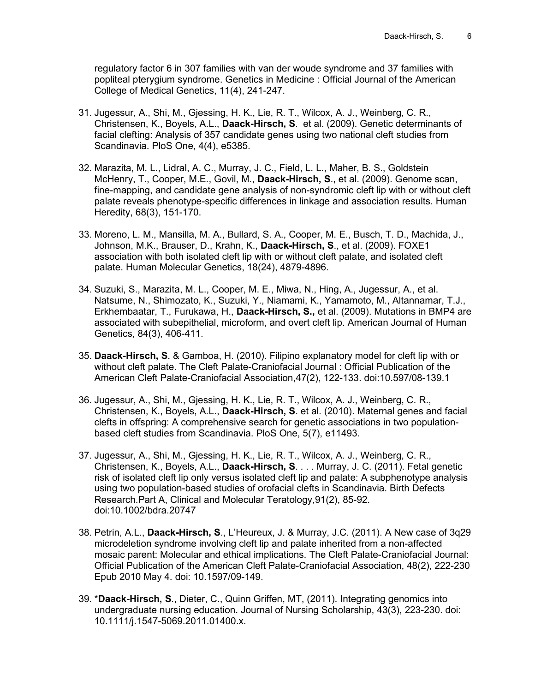regulatory factor 6 in 307 families with van der woude syndrome and 37 families with popliteal pterygium syndrome. Genetics in Medicine : Official Journal of the American College of Medical Genetics, 11(4), 241-247.

- 31. Jugessur, A., Shi, M., Gjessing, H. K., Lie, R. T., Wilcox, A. J., Weinberg, C. R., Christensen, K., Boyels, A.L., **Daack-Hirsch, S**. et al. (2009). Genetic determinants of facial clefting: Analysis of 357 candidate genes using two national cleft studies from Scandinavia. PloS One, 4(4), e5385.
- 32. Marazita, M. L., Lidral, A. C., Murray, J. C., Field, L. L., Maher, B. S., Goldstein McHenry, T., Cooper, M.E., Govil, M., **Daack-Hirsch, S**., et al. (2009). Genome scan, fine-mapping, and candidate gene analysis of non-syndromic cleft lip with or without cleft palate reveals phenotype-specific differences in linkage and association results. Human Heredity, 68(3), 151-170.
- 33. Moreno, L. M., Mansilla, M. A., Bullard, S. A., Cooper, M. E., Busch, T. D., Machida, J., Johnson, M.K., Brauser, D., Krahn, K., **Daack-Hirsch, S**., et al. (2009). FOXE1 association with both isolated cleft lip with or without cleft palate, and isolated cleft palate. Human Molecular Genetics, 18(24), 4879-4896.
- 34. Suzuki, S., Marazita, M. L., Cooper, M. E., Miwa, N., Hing, A., Jugessur, A., et al. Natsume, N., Shimozato, K., Suzuki, Y., Niamami, K., Yamamoto, M., Altannamar, T.J., Erkhembaatar, T., Furukawa, H., **Daack-Hirsch, S.,** et al. (2009). Mutations in BMP4 are associated with subepithelial, microform, and overt cleft lip. American Journal of Human Genetics, 84(3), 406-411.
- 35. **Daack-Hirsch, S**. & Gamboa, H. (2010). Filipino explanatory model for cleft lip with or without cleft palate. The Cleft Palate-Craniofacial Journal : Official Publication of the American Cleft Palate-Craniofacial Association,47(2), 122-133. doi:10.597/08-139.1
- 36. Jugessur, A., Shi, M., Gjessing, H. K., Lie, R. T., Wilcox, A. J., Weinberg, C. R., Christensen, K., Boyels, A.L., **Daack-Hirsch, S**. et al. (2010). Maternal genes and facial clefts in offspring: A comprehensive search for genetic associations in two populationbased cleft studies from Scandinavia. PloS One, 5(7), e11493.
- 37. Jugessur, A., Shi, M., Gjessing, H. K., Lie, R. T., Wilcox, A. J., Weinberg, C. R., Christensen, K., Boyels, A.L., **Daack-Hirsch, S**. . . . Murray, J. C. (2011). Fetal genetic risk of isolated cleft lip only versus isolated cleft lip and palate: A subphenotype analysis using two population-based studies of orofacial clefts in Scandinavia. Birth Defects Research.Part A, Clinical and Molecular Teratology,91(2), 85-92. doi:10.1002/bdra.20747
- 38. Petrin, A.L., **Daack-Hirsch, S**., L'Heureux, J. & Murray, J.C. (2011). A New case of 3q29 microdeletion syndrome involving cleft lip and palate inherited from a non-affected mosaic parent: Molecular and ethical implications. The Cleft Palate-Craniofacial Journal: Official Publication of the American Cleft Palate-Craniofacial Association, 48(2), 222-230 Epub 2010 May 4. doi: 10.1597/09-149.
- 39. \***Daack-Hirsch, S**., Dieter, C., Quinn Griffen, MT, (2011). Integrating genomics into undergraduate nursing education. Journal of Nursing Scholarship, 43(3), 223-230. doi: 10.1111/j.1547-5069.2011.01400.x.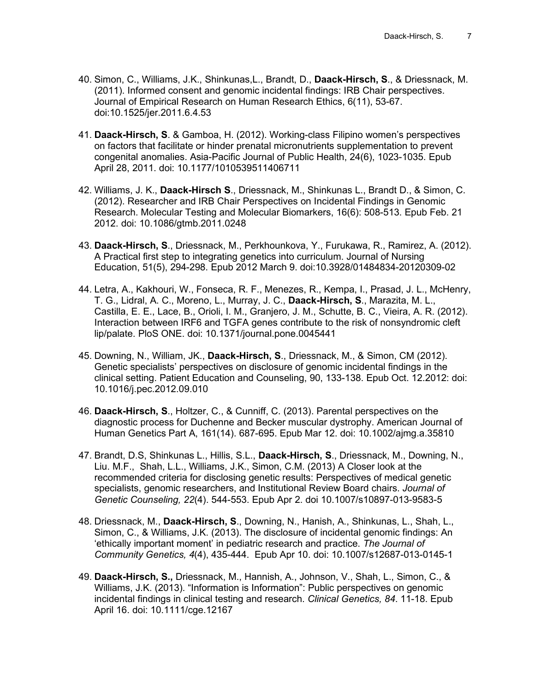- 40. Simon, C., Williams, J.K., Shinkunas,L., Brandt, D., **Daack-Hirsch, S**., & Driessnack, M. (2011). Informed consent and genomic incidental findings: IRB Chair perspectives. Journal of Empirical Research on Human Research Ethics, 6(11), 53-67. doi:10.1525/jer.2011.6.4.53
- 41. **Daack-Hirsch, S**. & Gamboa, H. (2012). Working-class Filipino women's perspectives on factors that facilitate or hinder prenatal micronutrients supplementation to prevent congenital anomalies. Asia-Pacific Journal of Public Health, 24(6), 1023-1035. Epub April 28, 2011. doi: 10.1177/1010539511406711
- 42. Williams, J. K., **Daack-Hirsch S**., Driessnack, M., Shinkunas L., Brandt D., & Simon, C. (2012). Researcher and IRB Chair Perspectives on Incidental Findings in Genomic Research. Molecular Testing and Molecular Biomarkers, 16(6): 508-513. Epub Feb. 21 2012. doi: 10.1086/gtmb.2011.0248
- 43. **Daack-Hirsch, S**., Driessnack, M., Perkhounkova, Y., Furukawa, R., Ramirez, A. (2012). A Practical first step to integrating genetics into curriculum. Journal of Nursing Education, 51(5), 294-298. Epub 2012 March 9. doi:10.3928/01484834-20120309-02
- 44. Letra, A., Kakhouri, W., Fonseca, R. F., Menezes, R., Kempa, I., Prasad, J. L., McHenry, T. G., Lidral, A. C., Moreno, L., Murray, J. C., **Daack-Hirsch, S**., Marazita, M. L., Castilla, E. E., Lace, B., Orioli, I. M., Granjero, J. M., Schutte, B. C., Vieira, A. R. (2012). Interaction between IRF6 and TGFA genes contribute to the risk of nonsyndromic cleft lip/palate. PloS ONE. doi: 10.1371/journal.pone.0045441
- 45. Downing, N., William, JK., **Daack-Hirsch, S**., Driessnack, M., & Simon, CM (2012). Genetic specialists' perspectives on disclosure of genomic incidental findings in the clinical setting. Patient Education and Counseling, 90, 133-138. Epub Oct. 12.2012: doi: 10.1016/j.pec.2012.09.010
- 46. **Daack-Hirsch, S**., Holtzer, C., & Cunniff, C. (2013). Parental perspectives on the diagnostic process for Duchenne and Becker muscular dystrophy. American Journal of Human Genetics Part A, 161(14). 687-695. Epub Mar 12. doi: 10.1002/ajmg.a.35810
- 47. Brandt, D.S, Shinkunas L., Hillis, S.L., **Daack-Hirsch, S**., Driessnack, M., Downing, N., Liu. M.F., Shah, L.L., Williams, J.K., Simon, C.M. (2013) A Closer look at the recommended criteria for disclosing genetic results: Perspectives of medical genetic specialists, genomic researchers, and Institutional Review Board chairs. *Journal of Genetic Counseling, 22*(4). 544-553. Epub Apr 2. doi 10.1007/s10897-013-9583-5
- 48. Driessnack, M., **Daack-Hirsch, S**., Downing, N., Hanish, A., Shinkunas, L., Shah, L., Simon, C., & Williams, J.K. (2013). The disclosure of incidental genomic findings: An 'ethically important moment' in pediatric research and practice. *The Journal of Community Genetics, 4*(4), 435-444. Epub Apr 10. doi: 10.1007/s12687-013-0145-1
- 49. **Daack-Hirsch, S.,** Driessnack, M., Hannish, A., Johnson, V., Shah, L., Simon, C., & Williams, J.K. (2013). "Information is Information": Public perspectives on genomic incidental findings in clinical testing and research. *Clinical Genetics, 84*. 11-18. Epub April 16. doi: 10.1111/cge.12167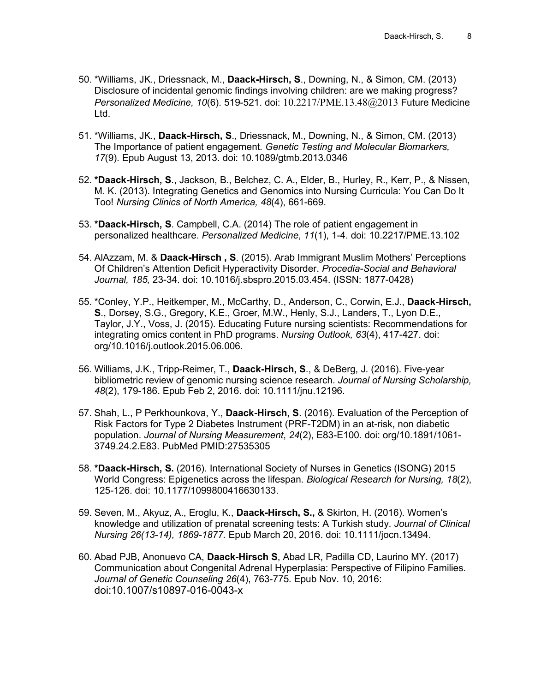- 50. \*Williams, JK., Driessnack, M., **Daack-Hirsch, S**., Downing, N., & Simon, CM. (2013) Disclosure of incidental genomic findings involving children: are we making progress? *Personalized Medicine, 10*(6). 519-521. doi: [10.2217/PME.13.48@2013](mailto:10.2217/PME.13.48@2013) Future Medicine Ltd.
- 51. \*Williams, JK., **Daack-Hirsch, S**., Driessnack, M., Downing, N., & Simon, CM. (2013) The Importance of patient engagement*. Genetic Testing and Molecular Biomarkers, 17*(9). Epub August 13, 2013. doi: 10.1089/gtmb.2013.0346
- 52. **\*Daack-Hirsch, S**., Jackson, B., Belchez, C. A., Elder, B., Hurley, R., Kerr, P., & Nissen, M. K. (2013). Integrating Genetics and Genomics into Nursing Curricula: You Can Do It Too! *Nursing Clinics of North America, 48*(4), 661-669.
- 53. **\*Daack-Hirsch, S**. Campbell, C.A. (2014) The role of patient engagement in personalized healthcare. *Personalized Medicine*, *11*(1), 1-4. doi: 10.2217/PME.13.102
- 54. AlAzzam, M. & **Daack-Hirsch , S**. (2015). Arab Immigrant Muslim Mothers' Perceptions Of Children's Attention Deficit Hyperactivity Disorder. *Procedia-Social and Behavioral Journal, 185,* 23-34. doi: 10.1016/j.sbspro.2015.03.454. (ISSN: 1877-0428)
- 55. \*Conley, Y.P., Heitkemper, M., McCarthy, D., Anderson, C., Corwin, E.J., **Daack-Hirsch, S**., Dorsey, S.G., Gregory, K.E., Groer, M.W., Henly, S.J., Landers, T., Lyon D.E., Taylor, J.Y., Voss, J. (2015). Educating Future nursing scientists: Recommendations for integrating omics content in PhD programs. *Nursing Outlook, 63*(4), 417-427. doi: org/10.1016/j.outlook.2015.06.006.
- 56. Williams, J.K., Tripp-Reimer, T., **Daack-Hirsch, S**., & DeBerg, J. (2016). Five-year bibliometric review of genomic nursing science research. *Journal of Nursing Scholarship, 48*(2), 179-186. Epub Feb 2, 2016. doi: 10.1111/jnu.12196.
- 57. Shah, L., P Perkhounkova, Y., **Daack-Hirsch, S**. (2016). Evaluation of the Perception of Risk Factors for Type 2 Diabetes Instrument (PRF-T2DM) in an at-risk, non diabetic population. *Journal of Nursing Measurement*, *24*(2), E83-E100. doi: org/10.1891/1061- 3749.24.2.E83. PubMed PMID:27535305
- 58. **\*Daack-Hirsch, S.** (2016). International Society of Nurses in Genetics (ISONG) 2015 World Congress: Epigenetics across the lifespan. *Biological Research for Nursing, 18*(2), 125-126. doi: 10.1177/1099800416630133.
- 59. Seven, M., Akyuz, A., Eroglu, K., **Daack-Hirsch, S.,** & Skirton, H. (2016). Women's knowledge and utilization of prenatal screening tests: A Turkish study. *Journal of Clinical Nursing 26(13-14), 1869-1877.* Epub March 20, 2016. doi: 10.1111/jocn.13494.
- 60. Abad PJB, Anonuevo CA, **Daack-Hirsch S**, Abad LR, Padilla CD, Laurino MY. (2017) Communication about Congenital Adrenal Hyperplasia: Perspective of Filipino Families. *Journal of Genetic Counseling 26*(4), 763-775*.* Epub Nov. 10, 2016: [doi:10.1007/s10897-016-0043-x](http://link.springer.com/10.1007/s10897-016-0043-x)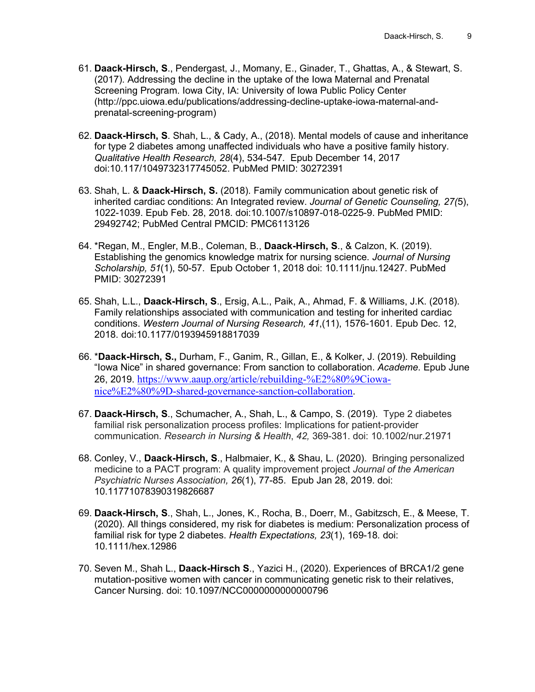- 61. **[Daack-Hirsch, S](http://ppc.uiowa.edu/publications/all?f%5bauthor%5d=1340)**., Pendergast, J., Momany, E., Ginader, T., Ghattas, A., & Stewart, S. (2017). Addressing the decline in the uptake of the Iowa Maternal and Prenatal Screening Program. Iowa City, IA: University of Iowa Public Policy Center [\(http://ppc.uiowa.edu/publications/addressing-decline-uptake-iowa-maternal-and](http://ppc.uiowa.edu/publications/addressing-decline-uptake-iowa-maternal-and-prenatal-screening-program)[prenatal-screening-program\)](http://ppc.uiowa.edu/publications/addressing-decline-uptake-iowa-maternal-and-prenatal-screening-program)
- 62. **Daack-Hirsch, S**. Shah, L., & Cady, A., (2018). Mental models of cause and inheritance for type 2 diabetes among unaffected individuals who have a positive family history. *Qualitative Health Research, 28*(4), 534-547*.* Epub December 14, 2017 doi:10.117/1049732317745052. PubMed PMID: 30272391
- 63. Shah, L. & **Daack-Hirsch, S.** (2018). Family communication about genetic risk of inherited cardiac conditions: An Integrated review. *Journal of Genetic Counseling, 27(*5), 1022-1039. Epub Feb. 28, 2018. doi:10.1007/s10897-018-0225-9. PubMed PMID: 29492742; PubMed Central PMCID: PMC6113126
- 64. \*Regan, M., Engler, M.B., Coleman, B., **Daack-Hirsch, S**., & Calzon, K. (2019). Establishing the genomics knowledge matrix for nursing science. *Journal of Nursing Scholarship, 51*(1), 50-57. Epub October 1, 2018 doi: 10.1111/jnu.12427. PubMed PMID: 30272391
- 65. Shah, L.L., **Daack-Hirsch, S**., Ersig, A.L., Paik, A., Ahmad, F. & Williams, J.K. (2018). Family relationships associated with communication and testing for inherited cardiac conditions. *Western Journal of Nursing Research, 41*,(11), 1576-1601*.* Epub Dec. 12, 2018. doi:10.1177/0193945918817039
- 66. \***Daack-Hirsch, S.,** Durham, F., Ganim, R., Gillan, E., & Kolker, J. (2019). Rebuilding "Iowa Nice" in shared governance: From sanction to collaboration. *Academe.* Epub June 26, 2019. [https://www.aaup.org/article/rebuilding-%E2%80%9Ciowa](https://www.aaup.org/article/rebuilding-%E2%80%9Ciowa-nice%E2%80%9D-shared-governance-sanction-collaboration)[nice%E2%80%9D-shared-governance-sanction-collaboration.](https://www.aaup.org/article/rebuilding-%E2%80%9Ciowa-nice%E2%80%9D-shared-governance-sanction-collaboration)
- 67. **Daack-Hirsch, S**., Schumacher, A., Shah, L., & Campo, S. (2019). Type 2 diabetes familial risk personalization process profiles: Implications for patient-provider communication. *Research in Nursing & Health*, *42,* 369-381. doi: 10.1002/nur.21971
- 68. Conley, V., **Daack-Hirsch, S**., Halbmaier, K., & Shau, L. (2020). Bringing personalized medicine to a PACT program: A quality improvement project *Journal of the American Psychiatric Nurses Association, 26*(1), 77-85. Epub Jan 28, 2019. doi: 10.11771078390319826687
- 69. **Daack-Hirsch, S**., Shah, L., Jones, K., Rocha, B., Doerr, M., Gabitzsch, E., & Meese, T. (2020). All things considered, my risk for diabetes is medium: Personalization process of familial risk for type 2 diabetes. *Health Expectations, 23*(1), 169-18*.* doi: 10.1111/hex.12986
- 70. Seven M., Shah L., **Daack-Hirsch S**., Yazici H., (2020). Experiences of BRCA1/2 gene mutation-positive women with cancer in communicating genetic risk to their relatives, Cancer Nursing. doi: 10.1097/NCC0000000000000796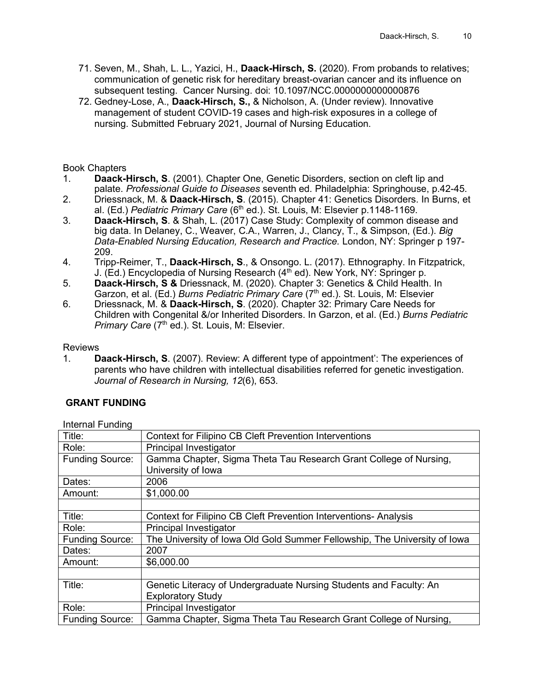- 71. Seven, M., Shah, L. L., Yazici, H., **Daack-Hirsch, S.** (2020). From probands to relatives; communication of genetic risk for hereditary breast-ovarian cancer and its influence on subsequent testing. Cancer Nursing. doi: 10.1097/NCC.0000000000000876
- 72. Gedney-Lose, A., **Daack-Hirsch, S.,** & Nicholson, A. (Under review). Innovative management of student COVID-19 cases and high-risk exposures in a college of nursing. Submitted February 2021, Journal of Nursing Education.

# Book Chapters<br>1. **Daack-l**

- Daack-Hirsch, S. (2001). Chapter One, Genetic Disorders, section on cleft lip and palate. *Professional Guide to Diseases* seventh ed. Philadelphia: Springhouse, p.42-45.
- 2. Driessnack, M. & **Daack-Hirsch, S**. (2015). Chapter 41: Genetics Disorders. In Burns, et al. (Ed.) *Pediatric Primary Care* (6th ed.). St. Louis, M: Elsevier p.1148-1169.
- 3. **Daack-Hirsch, S**. & Shah, L. (2017) Case Study: Complexity of common disease and big data. In Delaney, C., Weaver, C.A., Warren, J., Clancy, T., & Simpson, (Ed.). *Big Data-Enabled Nursing Education, Research and Practice.* London, NY: Springer p 197- 209.
- 4. Tripp-Reimer, T., **Daack-Hirsch, S**., & Onsongo. L. (2017). Ethnography. In Fitzpatrick, J. (Ed.) Encyclopedia of Nursing Research ( $4<sup>th</sup>$  ed). New York, NY: Springer p.
- 5. **Daack-Hirsch, S &** Driessnack, M. (2020). Chapter 3: Genetics & Child Health. In Garzon, et al. (Ed.) *Burns Pediatric Primary Care* (7th ed.). St. Louis, M: Elsevier
- 6. Driessnack, M. & **Daack-Hirsch, S**. (2020). Chapter 32: Primary Care Needs for Children with Congenital &/or Inherited Disorders. In Garzon, et al. (Ed.) *Burns Pediatric* Primary Care (7<sup>th</sup> ed.). St. Louis, M: Elsevier.

#### Reviews

1. **Daack-Hirsch, S**. (2007). Review: A different type of appointment': The experiences of parents who have children with intellectual disabilities referred for genetic investigation. *Journal of Research in Nursing, 12*(6), 653.

#### **GRANT FUNDING**

Internal Funding

| Title:                 | <b>Context for Filipino CB Cleft Prevention Interventions</b>             |  |
|------------------------|---------------------------------------------------------------------------|--|
| Role:                  | Principal Investigator                                                    |  |
| <b>Funding Source:</b> | Gamma Chapter, Sigma Theta Tau Research Grant College of Nursing,         |  |
|                        | University of Iowa                                                        |  |
| Dates:                 | 2006                                                                      |  |
| Amount:                | \$1,000.00                                                                |  |
|                        |                                                                           |  |
| Title:                 | Context for Filipino CB Cleft Prevention Interventions-Analysis           |  |
| Role:                  | Principal Investigator                                                    |  |
| <b>Funding Source:</b> | The University of Iowa Old Gold Summer Fellowship, The University of Iowa |  |
| Dates:                 | 2007                                                                      |  |
| Amount:                | \$6,000.00                                                                |  |
|                        |                                                                           |  |
| Title:                 | Genetic Literacy of Undergraduate Nursing Students and Faculty: An        |  |
|                        | <b>Exploratory Study</b>                                                  |  |
| Role:                  | Principal Investigator                                                    |  |
| <b>Funding Source:</b> | Gamma Chapter, Sigma Theta Tau Research Grant College of Nursing,         |  |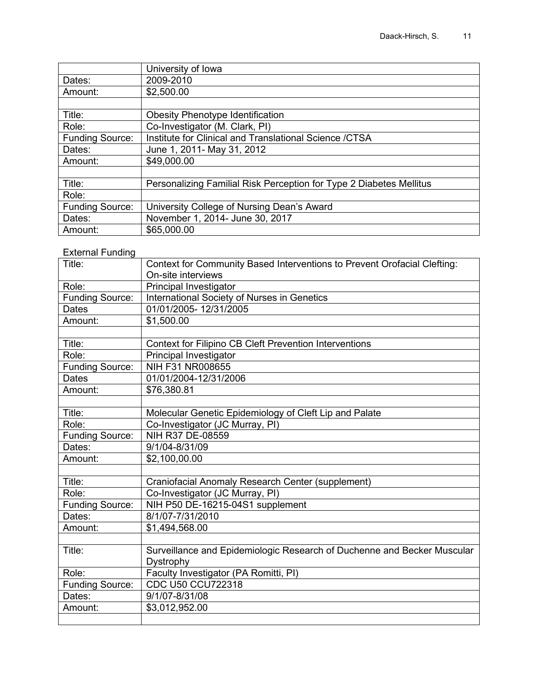|                        | University of Iowa                                                  |  |
|------------------------|---------------------------------------------------------------------|--|
| Dates:                 | 2009-2010                                                           |  |
| Amount:                | \$2,500.00                                                          |  |
|                        |                                                                     |  |
| Title:                 | <b>Obesity Phenotype Identification</b>                             |  |
| Role:                  | Co-Investigator (M. Clark, PI)                                      |  |
| <b>Funding Source:</b> | Institute for Clinical and Translational Science / CTSA             |  |
| Dates:                 | June 1, 2011 - May 31, 2012                                         |  |
| Amount:                | \$49,000.00                                                         |  |
|                        |                                                                     |  |
| Title:                 | Personalizing Familial Risk Perception for Type 2 Diabetes Mellitus |  |
| Role:                  |                                                                     |  |
| <b>Funding Source:</b> | University College of Nursing Dean's Award                          |  |
| Dates:                 | November 1, 2014- June 30, 2017                                     |  |
| Amount:                | \$65,000.00                                                         |  |

## External Funding

| Title:                 | Context for Community Based Interventions to Prevent Orofacial Clefting: |
|------------------------|--------------------------------------------------------------------------|
|                        | On-site interviews                                                       |
| Role:                  | Principal Investigator                                                   |
| <b>Funding Source:</b> | International Society of Nurses in Genetics                              |
| <b>Dates</b>           | 01/01/2005-12/31/2005                                                    |
| Amount:                | \$1,500.00                                                               |
|                        |                                                                          |
| Title:                 | <b>Context for Filipino CB Cleft Prevention Interventions</b>            |
| Role:                  | Principal Investigator                                                   |
| <b>Funding Source:</b> | NIH F31 NR008655                                                         |
| <b>Dates</b>           | 01/01/2004-12/31/2006                                                    |
| Amount:                | \$76,380.81                                                              |
|                        |                                                                          |
| Title:                 | Molecular Genetic Epidemiology of Cleft Lip and Palate                   |
| Role:                  | Co-Investigator (JC Murray, PI)                                          |
| <b>Funding Source:</b> | NIH R37 DE-08559                                                         |
| Dates:                 | 9/1/04-8/31/09                                                           |
| Amount:                | \$2,100,00.00                                                            |
|                        |                                                                          |
| Title:                 | Craniofacial Anomaly Research Center (supplement)                        |
| Role:                  | Co-Investigator (JC Murray, PI)                                          |
| <b>Funding Source:</b> | NIH P50 DE-16215-04S1 supplement                                         |
| Dates:                 | 8/1/07-7/31/2010                                                         |
| Amount:                | \$1,494,568.00                                                           |
|                        |                                                                          |
| Title:                 | Surveillance and Epidemiologic Research of Duchenne and Becker Muscular  |
|                        | Dystrophy                                                                |
| Role:                  | Faculty Investigator (PA Romitti, PI)                                    |
| <b>Funding Source:</b> | CDC U50 CCU722318                                                        |
| Dates:                 | 9/1/07-8/31/08                                                           |
| Amount:                | \$3,012,952.00                                                           |
|                        |                                                                          |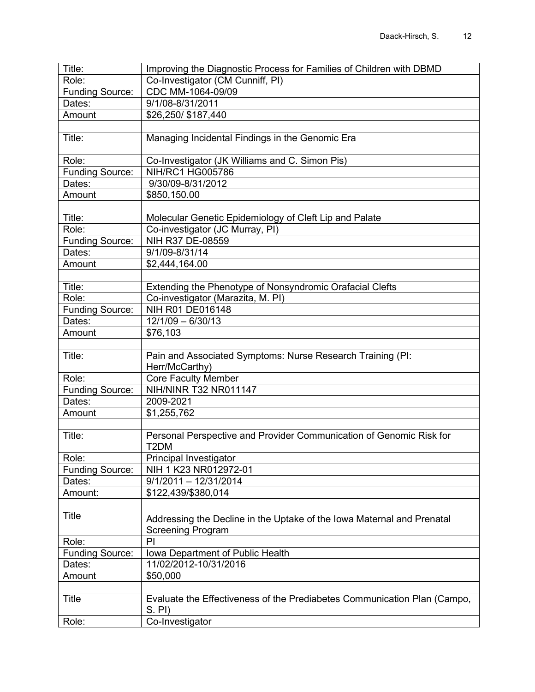| Role:<br>Co-Investigator (CM Cunniff, PI)<br>CDC MM-1064-09/09<br>Funding Source:<br>9/1/08-8/31/2011<br>Dates:<br>\$26,250/ \$187,440<br>Amount<br>Title:<br>Managing Incidental Findings in the Genomic Era<br>Co-Investigator (JK Williams and C. Simon Pis)<br>Role:<br><b>NIH/RC1 HG005786</b><br><b>Funding Source:</b><br>9/30/09-8/31/2012<br>Dates:<br>Amount<br>\$850,150.00<br>Title:<br>Molecular Genetic Epidemiology of Cleft Lip and Palate<br>Role:<br>Co-investigator (JC Murray, PI)<br>NIH R37 DE-08559<br><b>Funding Source:</b><br>9/1/09-8/31/14<br>Dates:<br>Amount<br>\$2,444,164.00<br>Title:<br>Extending the Phenotype of Nonsyndromic Orafacial Clefts |
|------------------------------------------------------------------------------------------------------------------------------------------------------------------------------------------------------------------------------------------------------------------------------------------------------------------------------------------------------------------------------------------------------------------------------------------------------------------------------------------------------------------------------------------------------------------------------------------------------------------------------------------------------------------------------------|
|                                                                                                                                                                                                                                                                                                                                                                                                                                                                                                                                                                                                                                                                                    |
|                                                                                                                                                                                                                                                                                                                                                                                                                                                                                                                                                                                                                                                                                    |
|                                                                                                                                                                                                                                                                                                                                                                                                                                                                                                                                                                                                                                                                                    |
|                                                                                                                                                                                                                                                                                                                                                                                                                                                                                                                                                                                                                                                                                    |
|                                                                                                                                                                                                                                                                                                                                                                                                                                                                                                                                                                                                                                                                                    |
|                                                                                                                                                                                                                                                                                                                                                                                                                                                                                                                                                                                                                                                                                    |
|                                                                                                                                                                                                                                                                                                                                                                                                                                                                                                                                                                                                                                                                                    |
|                                                                                                                                                                                                                                                                                                                                                                                                                                                                                                                                                                                                                                                                                    |
|                                                                                                                                                                                                                                                                                                                                                                                                                                                                                                                                                                                                                                                                                    |
|                                                                                                                                                                                                                                                                                                                                                                                                                                                                                                                                                                                                                                                                                    |
|                                                                                                                                                                                                                                                                                                                                                                                                                                                                                                                                                                                                                                                                                    |
|                                                                                                                                                                                                                                                                                                                                                                                                                                                                                                                                                                                                                                                                                    |
|                                                                                                                                                                                                                                                                                                                                                                                                                                                                                                                                                                                                                                                                                    |
|                                                                                                                                                                                                                                                                                                                                                                                                                                                                                                                                                                                                                                                                                    |
|                                                                                                                                                                                                                                                                                                                                                                                                                                                                                                                                                                                                                                                                                    |
|                                                                                                                                                                                                                                                                                                                                                                                                                                                                                                                                                                                                                                                                                    |
|                                                                                                                                                                                                                                                                                                                                                                                                                                                                                                                                                                                                                                                                                    |
|                                                                                                                                                                                                                                                                                                                                                                                                                                                                                                                                                                                                                                                                                    |
| Role:<br>Co-investigator (Marazita, M. PI)                                                                                                                                                                                                                                                                                                                                                                                                                                                                                                                                                                                                                                         |
| NIH R01 DE016148<br><b>Funding Source:</b>                                                                                                                                                                                                                                                                                                                                                                                                                                                                                                                                                                                                                                         |
| $12/1/09 - 6/30/13$<br>Dates:                                                                                                                                                                                                                                                                                                                                                                                                                                                                                                                                                                                                                                                      |
| Amount<br>\$76,103                                                                                                                                                                                                                                                                                                                                                                                                                                                                                                                                                                                                                                                                 |
|                                                                                                                                                                                                                                                                                                                                                                                                                                                                                                                                                                                                                                                                                    |
| Title:<br>Pain and Associated Symptoms: Nurse Research Training (PI:<br>Herr/McCarthy)                                                                                                                                                                                                                                                                                                                                                                                                                                                                                                                                                                                             |
| <b>Core Faculty Member</b><br>Role:                                                                                                                                                                                                                                                                                                                                                                                                                                                                                                                                                                                                                                                |
| <b>NIH/NINR T32 NR011147</b><br><b>Funding Source:</b>                                                                                                                                                                                                                                                                                                                                                                                                                                                                                                                                                                                                                             |
| Dates:<br>2009-2021                                                                                                                                                                                                                                                                                                                                                                                                                                                                                                                                                                                                                                                                |
| \$1,255,762<br>Amount                                                                                                                                                                                                                                                                                                                                                                                                                                                                                                                                                                                                                                                              |
|                                                                                                                                                                                                                                                                                                                                                                                                                                                                                                                                                                                                                                                                                    |
| Title:<br>Personal Perspective and Provider Communication of Genomic Risk for                                                                                                                                                                                                                                                                                                                                                                                                                                                                                                                                                                                                      |
| T <sub>2</sub> DM                                                                                                                                                                                                                                                                                                                                                                                                                                                                                                                                                                                                                                                                  |
| Role:<br>Principal Investigator                                                                                                                                                                                                                                                                                                                                                                                                                                                                                                                                                                                                                                                    |
| NIH 1 K23 NR012972-01<br><b>Funding Source:</b>                                                                                                                                                                                                                                                                                                                                                                                                                                                                                                                                                                                                                                    |
| $9/1/2011 - 12/31/2014$<br>Dates:                                                                                                                                                                                                                                                                                                                                                                                                                                                                                                                                                                                                                                                  |
| \$122,439/\$380,014<br>Amount:                                                                                                                                                                                                                                                                                                                                                                                                                                                                                                                                                                                                                                                     |
|                                                                                                                                                                                                                                                                                                                                                                                                                                                                                                                                                                                                                                                                                    |
| Title<br>Addressing the Decline in the Uptake of the Iowa Maternal and Prenatal                                                                                                                                                                                                                                                                                                                                                                                                                                                                                                                                                                                                    |
| <b>Screening Program</b>                                                                                                                                                                                                                                                                                                                                                                                                                                                                                                                                                                                                                                                           |
| PI<br>Role:                                                                                                                                                                                                                                                                                                                                                                                                                                                                                                                                                                                                                                                                        |
| Iowa Department of Public Health<br><b>Funding Source:</b>                                                                                                                                                                                                                                                                                                                                                                                                                                                                                                                                                                                                                         |
| 11/02/2012-10/31/2016<br>Dates:                                                                                                                                                                                                                                                                                                                                                                                                                                                                                                                                                                                                                                                    |
| Amount<br>\$50,000                                                                                                                                                                                                                                                                                                                                                                                                                                                                                                                                                                                                                                                                 |
|                                                                                                                                                                                                                                                                                                                                                                                                                                                                                                                                                                                                                                                                                    |
| Evaluate the Effectiveness of the Prediabetes Communication Plan (Campo,<br>Title<br>$S.$ PI)                                                                                                                                                                                                                                                                                                                                                                                                                                                                                                                                                                                      |
| Co-Investigator<br>Role:                                                                                                                                                                                                                                                                                                                                                                                                                                                                                                                                                                                                                                                           |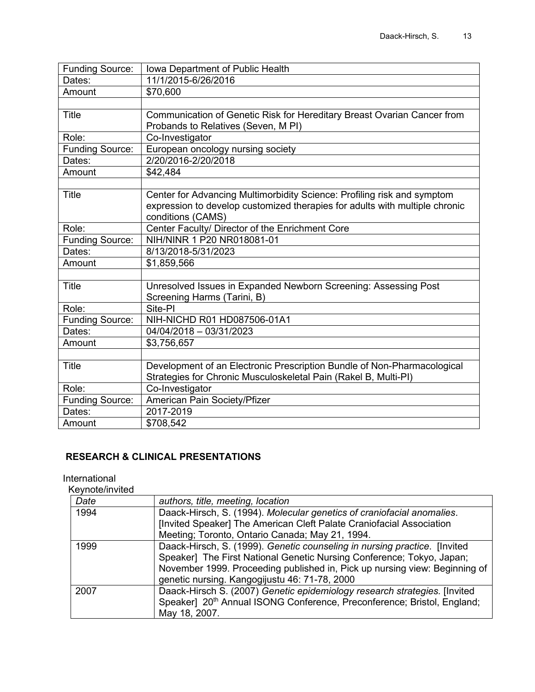| <b>Funding Source:</b> | Iowa Department of Public Health                                            |
|------------------------|-----------------------------------------------------------------------------|
| Dates:                 | 11/1/2015-6/26/2016                                                         |
| Amount                 | \$70,600                                                                    |
|                        |                                                                             |
| <b>Title</b>           | Communication of Genetic Risk for Hereditary Breast Ovarian Cancer from     |
|                        | Probands to Relatives (Seven, M PI)                                         |
| Role:                  | Co-Investigator                                                             |
| <b>Funding Source:</b> | European oncology nursing society                                           |
| Dates:                 | 2/20/2016-2/20/2018                                                         |
| Amount                 | \$42,484                                                                    |
|                        |                                                                             |
| <b>Title</b>           | Center for Advancing Multimorbidity Science: Profiling risk and symptom     |
|                        | expression to develop customized therapies for adults with multiple chronic |
|                        | conditions (CAMS)                                                           |
| Role:                  | Center Faculty/ Director of the Enrichment Core                             |
| <b>Funding Source:</b> | NIH/NINR 1 P20 NR018081-01                                                  |
| Dates:                 | 8/13/2018-5/31/2023                                                         |
| Amount                 | \$1,859,566                                                                 |
|                        |                                                                             |
| <b>Title</b>           | Unresolved Issues in Expanded Newborn Screening: Assessing Post             |
|                        | Screening Harms (Tarini, B)                                                 |
| Role:                  | Site-PI                                                                     |
| <b>Funding Source:</b> | NIH-NICHD R01 HD087506-01A1                                                 |
| Dates:                 | 04/04/2018 - 03/31/2023                                                     |
| Amount                 | \$3,756,657                                                                 |
|                        |                                                                             |
| <b>Title</b>           | Development of an Electronic Prescription Bundle of Non-Pharmacological     |
|                        | Strategies for Chronic Musculoskeletal Pain (Rakel B, Multi-PI)             |
| Role:                  | Co-Investigator                                                             |
| <b>Funding Source:</b> | American Pain Society/Pfizer                                                |
| Dates:                 | 2017-2019                                                                   |
| Amount                 | \$708,542                                                                   |

## **RESEARCH & CLINICAL PRESENTATIONS**

#### International

Keynote/invited

| Date | authors, title, meeting, location                                                   |
|------|-------------------------------------------------------------------------------------|
| 1994 | Daack-Hirsch, S. (1994). Molecular genetics of craniofacial anomalies.              |
|      | [Invited Speaker] The American Cleft Palate Craniofacial Association                |
|      | Meeting; Toronto, Ontario Canada; May 21, 1994.                                     |
| 1999 | Daack-Hirsch, S. (1999). Genetic counseling in nursing practice. [Invited]          |
|      | Speaker] The First National Genetic Nursing Conference; Tokyo, Japan;               |
|      | November 1999. Proceeding published in, Pick up nursing view: Beginning of          |
|      | genetic nursing. Kangogijustu 46: 71-78, 2000                                       |
| 2007 | Daack-Hirsch S. (2007) Genetic epidemiology research strategies. [Invited           |
|      | Speaker] 20 <sup>th</sup> Annual ISONG Conference, Preconference; Bristol, England; |
|      | May 18, 2007.                                                                       |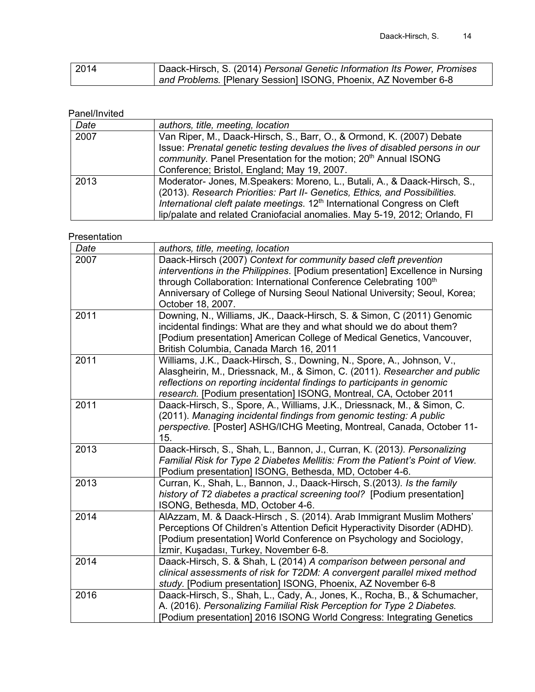| 2014 | Daack-Hirsch, S. (2014) Personal Genetic Information Its Power, Promises |
|------|--------------------------------------------------------------------------|
|      | and Problems. [Plenary Session] ISONG, Phoenix, AZ November 6-8          |

## Panel/Invited

| Date | authors, title, meeting, location                                                     |
|------|---------------------------------------------------------------------------------------|
| 2007 | Van Riper, M., Daack-Hirsch, S., Barr, O., & Ormond, K. (2007) Debate                 |
|      | Issue: Prenatal genetic testing devalues the lives of disabled persons in our         |
|      | community. Panel Presentation for the motion; 20 <sup>th</sup> Annual ISONG           |
|      | Conference; Bristol, England; May 19, 2007.                                           |
| 2013 | Moderator- Jones, M. Speakers: Moreno, L., Butali, A., & Daack-Hirsch, S.,            |
|      | (2013). Research Priorities: Part II- Genetics, Ethics, and Possibilities.            |
|      | International cleft palate meetings. 12 <sup>th</sup> International Congress on Cleft |
|      | lip/palate and related Craniofacial anomalies. May 5-19, 2012; Orlando, FI            |

#### Presentation

| Date | authors, title, meeting, location                                                                                                                                                                                                                                                                                         |
|------|---------------------------------------------------------------------------------------------------------------------------------------------------------------------------------------------------------------------------------------------------------------------------------------------------------------------------|
| 2007 | Daack-Hirsch (2007) Context for community based cleft prevention<br>interventions in the Philippines. [Podium presentation] Excellence in Nursing<br>through Collaboration: International Conference Celebrating 100th<br>Anniversary of College of Nursing Seoul National University; Seoul, Korea;<br>October 18, 2007. |
| 2011 | Downing, N., Williams, JK., Daack-Hirsch, S. & Simon, C (2011) Genomic<br>incidental findings: What are they and what should we do about them?<br>[Podium presentation] American College of Medical Genetics, Vancouver,<br>British Columbia, Canada March 16, 2011                                                       |
| 2011 | Williams, J.K., Daack-Hirsch, S., Downing, N., Spore, A., Johnson, V.,<br>Alasgheirin, M., Driessnack, M., & Simon, C. (2011). Researcher and public<br>reflections on reporting incidental findings to participants in genomic<br>research. [Podium presentation] ISONG, Montreal, CA, October 2011                      |
| 2011 | Daack-Hirsch, S., Spore, A., Williams, J.K., Driessnack, M., & Simon, C.<br>(2011). Managing incidental findings from genomic testing: A public<br>perspective. [Poster] ASHG/ICHG Meeting, Montreal, Canada, October 11-<br>15.                                                                                          |
| 2013 | Daack-Hirsch, S., Shah, L., Bannon, J., Curran, K. (2013). Personalizing<br>Familial Risk for Type 2 Diabetes Mellitis: From the Patient's Point of View.<br>[Podium presentation] ISONG, Bethesda, MD, October 4-6.                                                                                                      |
| 2013 | Curran, K., Shah, L., Bannon, J., Daack-Hirsch, S.(2013). Is the family<br>history of T2 diabetes a practical screening tool? [Podium presentation]<br>ISONG, Bethesda, MD, October 4-6.                                                                                                                                  |
| 2014 | AlAzzam, M. & Daack-Hirsch, S. (2014). Arab Immigrant Muslim Mothers'<br>Perceptions Of Children's Attention Deficit Hyperactivity Disorder (ADHD).<br>[Podium presentation] World Conference on Psychology and Sociology,<br>İzmir, Kuşadası, Turkey, November 6-8.                                                      |
| 2014 | Daack-Hirsch, S. & Shah, L (2014) A comparison between personal and<br>clinical assessments of risk for T2DM: A convergent parallel mixed method<br>study. [Podium presentation] ISONG, Phoenix, AZ November 6-8                                                                                                          |
| 2016 | Daack-Hirsch, S., Shah, L., Cady, A., Jones, K., Rocha, B., & Schumacher,<br>A. (2016). Personalizing Familial Risk Perception for Type 2 Diabetes.<br>[Podium presentation] 2016 ISONG World Congress: Integrating Genetics                                                                                              |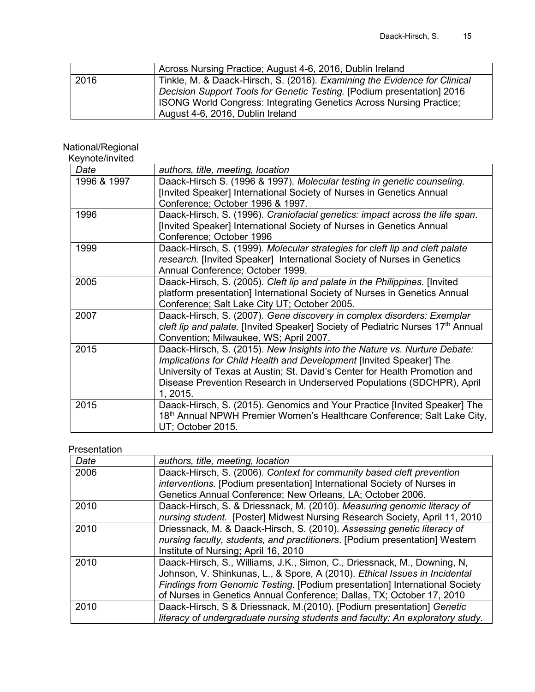|      | Across Nursing Practice; August 4-6, 2016, Dublin Ireland                 |
|------|---------------------------------------------------------------------------|
| 2016 | Tinkle, M. & Daack-Hirsch, S. (2016). Examining the Evidence for Clinical |
|      | Decision Support Tools for Genetic Testing. [Podium presentation] 2016    |
|      | ISONG World Congress: Integrating Genetics Across Nursing Practice;       |
|      | August 4-6, 2016, Dublin Ireland                                          |

#### National/Regional

Keynote/invited

| Date        | authors, title, meeting, location                                                           |
|-------------|---------------------------------------------------------------------------------------------|
| 1996 & 1997 | Daack-Hirsch S. (1996 & 1997). Molecular testing in genetic counseling.                     |
|             | [Invited Speaker] International Society of Nurses in Genetics Annual                        |
|             | Conference; October 1996 & 1997.                                                            |
| 1996        | Daack-Hirsch, S. (1996). Craniofacial genetics: impact across the life span.                |
|             | [Invited Speaker] International Society of Nurses in Genetics Annual                        |
|             | Conference; October 1996                                                                    |
| 1999        | Daack-Hirsch, S. (1999). Molecular strategies for cleft lip and cleft palate                |
|             | research. [Invited Speaker] International Society of Nurses in Genetics                     |
|             | Annual Conference; October 1999.                                                            |
| 2005        | Daack-Hirsch, S. (2005). Cleft lip and palate in the Philippines. [Invited]                 |
|             | platform presentation] International Society of Nurses in Genetics Annual                   |
|             | Conference; Salt Lake City UT; October 2005.                                                |
| 2007        | Daack-Hirsch, S. (2007). Gene discovery in complex disorders: Exemplar                      |
|             | cleft lip and palate. [Invited Speaker] Society of Pediatric Nurses 17 <sup>th</sup> Annual |
|             | Convention; Milwaukee, WS; April 2007.                                                      |
| 2015        | Daack-Hirsch, S. (2015). New Insights into the Nature vs. Nurture Debate:                   |
|             | Implications for Child Health and Development [Invited Speaker] The                         |
|             | University of Texas at Austin; St. David's Center for Health Promotion and                  |
|             | Disease Prevention Research in Underserved Populations (SDCHPR), April                      |
|             | 1, 2015.                                                                                    |
| 2015        | Daack-Hirsch, S. (2015). Genomics and Your Practice [Invited Speaker] The                   |
|             | 18th Annual NPWH Premier Women's Healthcare Conference; Salt Lake City,                     |
|             | UT; October 2015.                                                                           |

## Presentation

| Date | authors, title, meeting, location                                             |
|------|-------------------------------------------------------------------------------|
| 2006 | Daack-Hirsch, S. (2006). Context for community based cleft prevention         |
|      | interventions. [Podium presentation] International Society of Nurses in       |
|      | Genetics Annual Conference; New Orleans, LA; October 2006.                    |
| 2010 | Daack-Hirsch, S. & Driessnack, M. (2010). Measuring genomic literacy of       |
|      | nursing student. [Poster] Midwest Nursing Research Society, April 11, 2010    |
| 2010 | Driessnack, M. & Daack-Hirsch, S. (2010). Assessing genetic literacy of       |
|      | nursing faculty, students, and practitioners. [Podium presentation] Western   |
|      | Institute of Nursing; April 16, 2010                                          |
| 2010 | Daack-Hirsch, S., Williams, J.K., Simon, C., Driessnack, M., Downing, N.      |
|      | Johnson, V. Shinkunas, L., & Spore, A (2010). Ethical Issues in Incidental    |
|      | Findings from Genomic Testing. [Podium presentation] International Society    |
|      | of Nurses in Genetics Annual Conference; Dallas, TX; October 17, 2010         |
| 2010 | Daack-Hirsch, S & Driessnack, M.(2010). [Podium presentation] Genetic         |
|      | literacy of undergraduate nursing students and faculty: An exploratory study. |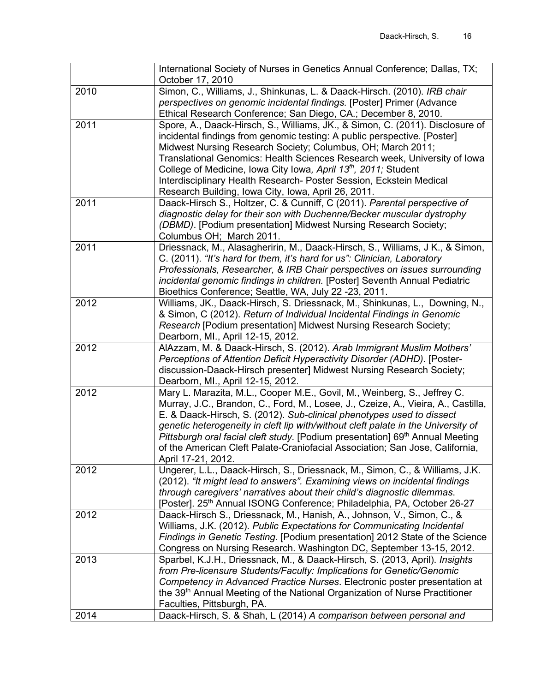|      | International Society of Nurses in Genetics Annual Conference; Dallas, TX;<br>October 17, 2010                                                             |
|------|------------------------------------------------------------------------------------------------------------------------------------------------------------|
| 2010 | Simon, C., Williams, J., Shinkunas, L. & Daack-Hirsch. (2010). IRB chair                                                                                   |
|      | perspectives on genomic incidental findings. [Poster] Primer (Advance                                                                                      |
|      | Ethical Research Conference; San Diego, CA.; December 8, 2010.                                                                                             |
| 2011 | Spore, A., Daack-Hirsch, S., Williams, JK., & Simon, C. (2011). Disclosure of                                                                              |
|      | incidental findings from genomic testing: A public perspective. [Poster]                                                                                   |
|      |                                                                                                                                                            |
|      | Midwest Nursing Research Society; Columbus, OH; March 2011;                                                                                                |
|      | Translational Genomics: Health Sciences Research week, University of Iowa                                                                                  |
|      | College of Medicine, Iowa City Iowa, April 13 <sup>th</sup> , 2011; Student                                                                                |
|      | Interdisciplinary Health Research- Poster Session, Eckstein Medical                                                                                        |
| 2011 | Research Building, Iowa City, Iowa, April 26, 2011.<br>Daack-Hirsch S., Holtzer, C. & Cunniff, C (2011). Parental perspective of                           |
|      |                                                                                                                                                            |
|      | diagnostic delay for their son with Duchenne/Becker muscular dystrophy                                                                                     |
|      | (DBMD). [Podium presentation] Midwest Nursing Research Society;                                                                                            |
|      | Columbus OH; March 2011.                                                                                                                                   |
| 2011 | Driessnack, M., Alasagheririn, M., Daack-Hirsch, S., Williams, J K., & Simon,<br>C. (2011). "It's hard for them, it's hard for us": Clinician, Laboratory  |
|      | Professionals, Researcher, & IRB Chair perspectives on issues surrounding                                                                                  |
|      | incidental genomic findings in children. [Poster] Seventh Annual Pediatric                                                                                 |
|      | Bioethics Conference; Seattle, WA, July 22 -23, 2011.                                                                                                      |
| 2012 | Williams, JK., Daack-Hirsch, S. Driessnack, M., Shinkunas, L., Downing, N.,                                                                                |
|      | & Simon, C (2012). Return of Individual Incidental Findings in Genomic                                                                                     |
|      | Research [Podium presentation] Midwest Nursing Research Society;                                                                                           |
|      | Dearborn, MI., April 12-15, 2012.                                                                                                                          |
| 2012 |                                                                                                                                                            |
|      |                                                                                                                                                            |
|      | AlAzzam, M. & Daack-Hirsch, S. (2012). Arab Immigrant Muslim Mothers'                                                                                      |
|      | Perceptions of Attention Deficit Hyperactivity Disorder (ADHD). [Poster-                                                                                   |
|      | discussion-Daack-Hirsch presenter] Midwest Nursing Research Society;                                                                                       |
| 2012 | Dearborn, MI., April 12-15, 2012.                                                                                                                          |
|      | Mary L. Marazita, M.L., Cooper M.E., Govil, M., Weinberg, S., Jeffrey C.                                                                                   |
|      | Murray, J.C., Brandon, C., Ford, M., Losee, J., Czeize, A., Vieira, A., Castilla,                                                                          |
|      | E. & Daack-Hirsch, S. (2012). Sub-clinical phenotypes used to dissect<br>genetic heterogeneity in cleft lip with/without cleft palate in the University of |
|      | Pittsburgh oral facial cleft study. [Podium presentation] 69 <sup>th</sup> Annual Meeting                                                                  |
|      | of the American Cleft Palate-Craniofacial Association; San Jose, California,                                                                               |
|      | April 17-21, 2012.                                                                                                                                         |
| 2012 | Ungerer, L.L., Daack-Hirsch, S., Driessnack, M., Simon, C., & Williams, J.K.                                                                               |
|      | (2012). "It might lead to answers". Examining views on incidental findings                                                                                 |
|      | through caregivers' narratives about their child's diagnostic dilemmas.                                                                                    |
|      | [Poster]. 25 <sup>th</sup> Annual ISONG Conference; Philadelphia, PA, October 26-27                                                                        |
| 2012 | Daack-Hirsch S., Driessnack, M., Hanish, A., Johnson, V., Simon, C., &                                                                                     |
|      | Williams, J.K. (2012). Public Expectations for Communicating Incidental                                                                                    |
|      | Findings in Genetic Testing. [Podium presentation] 2012 State of the Science                                                                               |
|      | Congress on Nursing Research. Washington DC, September 13-15, 2012.                                                                                        |
| 2013 | Sparbel, K.J.H., Driessnack, M., & Daack-Hirsch, S. (2013, April). Insights                                                                                |
|      | from Pre-licensure Students/Faculty: Implications for Genetic/Genomic                                                                                      |
|      | Competency in Advanced Practice Nurses. Electronic poster presentation at                                                                                  |
|      | the 39 <sup>th</sup> Annual Meeting of the National Organization of Nurse Practitioner                                                                     |
| 2014 | Faculties, Pittsburgh, PA.<br>Daack-Hirsch, S. & Shah, L (2014) A comparison between personal and                                                          |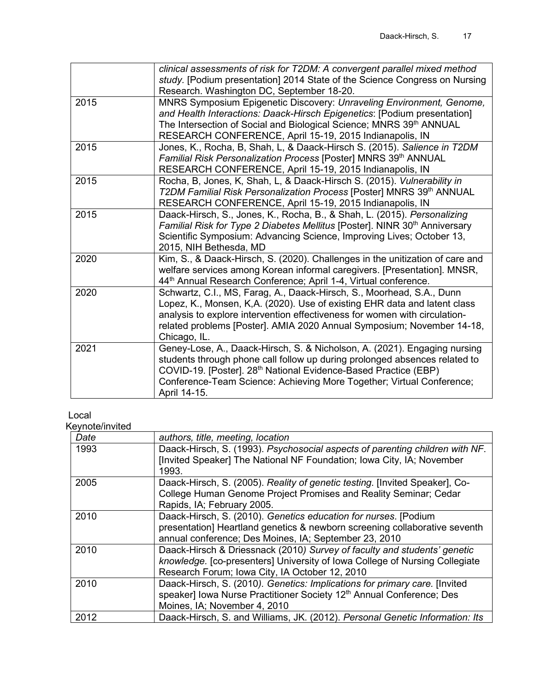|      | clinical assessments of risk for T2DM: A convergent parallel mixed method<br>study. [Podium presentation] 2014 State of the Science Congress on Nursing<br>Research. Washington DC, September 18-20.                                                                                                                            |
|------|---------------------------------------------------------------------------------------------------------------------------------------------------------------------------------------------------------------------------------------------------------------------------------------------------------------------------------|
| 2015 | MNRS Symposium Epigenetic Discovery: Unraveling Environment, Genome,<br>and Health Interactions: Daack-Hirsch Epigenetics: [Podium presentation]<br>The Intersection of Social and Biological Science; MNRS 39th ANNUAL<br>RESEARCH CONFERENCE, April 15-19, 2015 Indianapolis, IN                                              |
| 2015 | Jones, K., Rocha, B, Shah, L, & Daack-Hirsch S. (2015). Salience in T2DM<br>Familial Risk Personalization Process [Poster] MNRS 39th ANNUAL<br>RESEARCH CONFERENCE, April 15-19, 2015 Indianapolis, IN                                                                                                                          |
| 2015 | Rocha, B, Jones, K, Shah, L, & Daack-Hirsch S. (2015). Vulnerability in<br>T2DM Familial Risk Personalization Process [Poster] MNRS 39th ANNUAL<br>RESEARCH CONFERENCE, April 15-19, 2015 Indianapolis, IN                                                                                                                      |
| 2015 | Daack-Hirsch, S., Jones, K., Rocha, B., & Shah, L. (2015). Personalizing<br>Familial Risk for Type 2 Diabetes Mellitus [Poster]. NINR 30 <sup>th</sup> Anniversary<br>Scientific Symposium: Advancing Science, Improving Lives; October 13,<br>2015, NIH Bethesda, MD                                                           |
| 2020 | Kim, S., & Daack-Hirsch, S. (2020). Challenges in the unitization of care and<br>welfare services among Korean informal caregivers. [Presentation]. MNSR,<br>44 <sup>th</sup> Annual Research Conference; April 1-4, Virtual conference.                                                                                        |
| 2020 | Schwartz, C.I., MS, Farag, A., Daack-Hirsch, S., Moorhead, S.A., Dunn<br>Lopez, K., Monsen, K,A. (2020). Use of existing EHR data and latent class<br>analysis to explore intervention effectiveness for women with circulation-<br>related problems [Poster]. AMIA 2020 Annual Symposium; November 14-18,<br>Chicago, IL.      |
| 2021 | Geney-Lose, A., Daack-Hirsch, S. & Nicholson, A. (2021). Engaging nursing<br>students through phone call follow up during prolonged absences related to<br>COVID-19. [Poster]. 28 <sup>th</sup> National Evidence-Based Practice (EBP)<br>Conference-Team Science: Achieving More Together; Virtual Conference;<br>April 14-15. |

## Local

Keynote/invited

| Date | authors, title, meeting, location                                                                                                                                                                         |
|------|-----------------------------------------------------------------------------------------------------------------------------------------------------------------------------------------------------------|
| 1993 | Daack-Hirsch, S. (1993). Psychosocial aspects of parenting children with NF.<br>[Invited Speaker] The National NF Foundation; Iowa City, IA; November<br>1993.                                            |
| 2005 | Daack-Hirsch, S. (2005). Reality of genetic testing. [Invited Speaker], Co-<br>College Human Genome Project Promises and Reality Seminar; Cedar<br>Rapids, IA; February 2005.                             |
| 2010 | Daack-Hirsch, S. (2010). Genetics education for nurses. [Podium<br>presentation] Heartland genetics & newborn screening collaborative seventh<br>annual conference; Des Moines, IA; September 23, 2010    |
| 2010 | Daack-Hirsch & Driessnack (2010) Survey of faculty and students' genetic<br>knowledge. [co-presenters] University of Iowa College of Nursing Collegiate<br>Research Forum; Iowa City, IA October 12, 2010 |
| 2010 | Daack-Hirsch, S. (2010). Genetics: Implications for primary care. [Invited]<br>speaker] Iowa Nurse Practitioner Society 12 <sup>th</sup> Annual Conference; Des<br>Moines, IA; November 4, 2010           |
| 2012 | Daack-Hirsch, S. and Williams, JK. (2012). Personal Genetic Information: Its                                                                                                                              |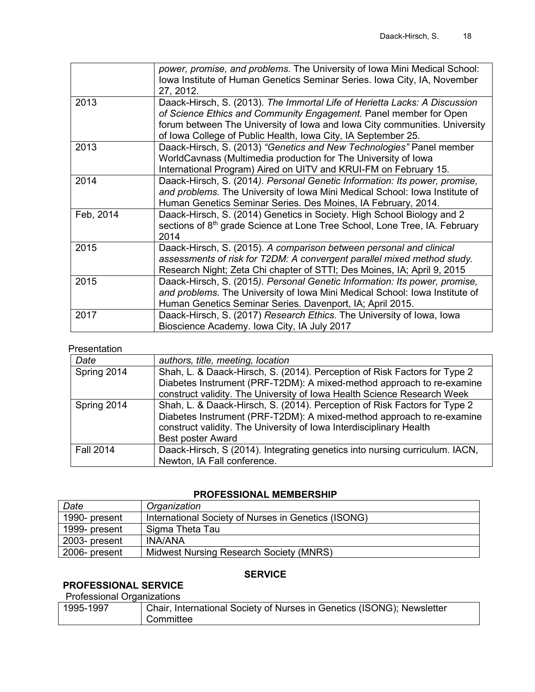|           | power, promise, and problems. The University of Iowa Mini Medical School:<br>Iowa Institute of Human Genetics Seminar Series. Iowa City, IA, November<br>27, 2012.                                                                                                                             |
|-----------|------------------------------------------------------------------------------------------------------------------------------------------------------------------------------------------------------------------------------------------------------------------------------------------------|
| 2013      | Daack-Hirsch, S. (2013). The Immortal Life of Herietta Lacks: A Discussion<br>of Science Ethics and Community Engagement. Panel member for Open<br>forum between The University of Iowa and Iowa City communities. University<br>of Iowa College of Public Health, Iowa City, IA September 25. |
| 2013      | Daack-Hirsch, S. (2013) "Genetics and New Technologies" Panel member<br>WorldCavnass (Multimedia production for The University of Iowa<br>International Program) Aired on UITV and KRUI-FM on February 15.                                                                                     |
| 2014      | Daack-Hirsch, S. (2014). Personal Genetic Information: Its power, promise,<br>and problems. The University of Iowa Mini Medical School: Iowa Institute of<br>Human Genetics Seminar Series. Des Moines, IA February, 2014.                                                                     |
| Feb, 2014 | Daack-Hirsch, S. (2014) Genetics in Society. High School Biology and 2<br>sections of 8 <sup>th</sup> grade Science at Lone Tree School, Lone Tree, IA. February<br>2014                                                                                                                       |
| 2015      | Daack-Hirsch, S. (2015). A comparison between personal and clinical<br>assessments of risk for T2DM: A convergent parallel mixed method study.<br>Research Night; Zeta Chi chapter of STTI; Des Moines, IA; April 9, 2015                                                                      |
| 2015      | Daack-Hirsch, S. (2015). Personal Genetic Information: Its power, promise,<br>and problems. The University of Iowa Mini Medical School: Iowa Institute of<br>Human Genetics Seminar Series. Davenport, IA; April 2015.                                                                         |
| 2017      | Daack-Hirsch, S. (2017) Research Ethics. The University of Iowa, Iowa<br>Bioscience Academy. Iowa City, IA July 2017                                                                                                                                                                           |

## Presentation

| Date             | authors, title, meeting, location                                           |
|------------------|-----------------------------------------------------------------------------|
| Spring 2014      | Shah, L. & Daack-Hirsch, S. (2014). Perception of Risk Factors for Type 2   |
|                  | Diabetes Instrument (PRF-T2DM): A mixed-method approach to re-examine       |
|                  | construct validity. The University of Iowa Health Science Research Week     |
| Spring 2014      | Shah, L. & Daack-Hirsch, S. (2014). Perception of Risk Factors for Type 2   |
|                  | Diabetes Instrument (PRF-T2DM): A mixed-method approach to re-examine       |
|                  | construct validity. The University of Iowa Interdisciplinary Health         |
|                  | <b>Best poster Award</b>                                                    |
| <b>Fall 2014</b> | Daack-Hirsch, S (2014). Integrating genetics into nursing curriculum. IACN, |
|                  | Newton, IA Fall conference.                                                 |

#### **PROFESSIONAL MEMBERSHIP**

| Date          | Organization                                        |
|---------------|-----------------------------------------------------|
| 1990- present | International Society of Nurses in Genetics (ISONG) |
| 1999- present | Sigma Theta Tau                                     |
| 2003- present | <b>INA/ANA</b>                                      |
| 2006- present | Midwest Nursing Research Society (MNRS)             |

# **SERVICE**

## **PROFESSIONAL SERVICE**

#### Professional Organizations

| Chair, International Society of Nurses in Genetics (ISONG); Newsletter<br>1995-1997 |  |
|-------------------------------------------------------------------------------------|--|
| Committee                                                                           |  |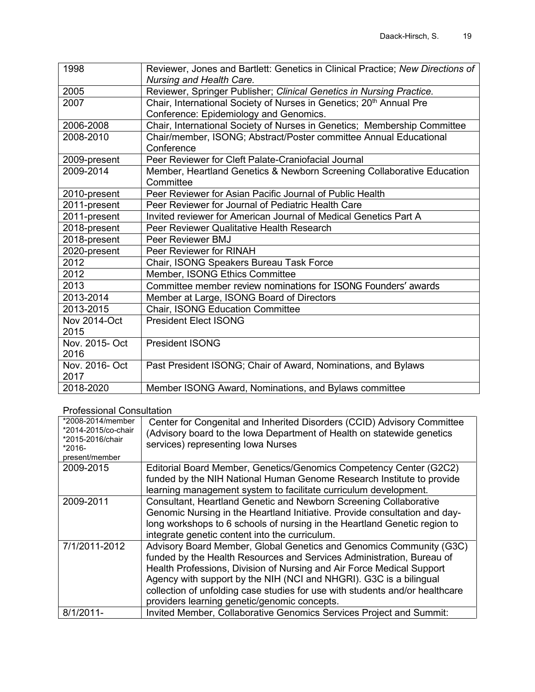| 1998                   | Reviewer, Jones and Bartlett: Genetics in Clinical Practice; New Directions of<br>Nursing and Health Care.                |  |  |
|------------------------|---------------------------------------------------------------------------------------------------------------------------|--|--|
| 2005                   | Reviewer, Springer Publisher; Clinical Genetics in Nursing Practice.                                                      |  |  |
| 2007                   | Chair, International Society of Nurses in Genetics; 20 <sup>th</sup> Annual Pre<br>Conference: Epidemiology and Genomics. |  |  |
| 2006-2008              | Chair, International Society of Nurses in Genetics; Membership Committee                                                  |  |  |
| 2008-2010              | Chair/member, ISONG; Abstract/Poster committee Annual Educational<br>Conference                                           |  |  |
| 2009-present           | Peer Reviewer for Cleft Palate-Craniofacial Journal                                                                       |  |  |
| 2009-2014              | Member, Heartland Genetics & Newborn Screening Collaborative Education<br>Committee                                       |  |  |
| 2010-present           | Peer Reviewer for Asian Pacific Journal of Public Health                                                                  |  |  |
| 2011-present           | Peer Reviewer for Journal of Pediatric Health Care                                                                        |  |  |
| 2011-present           | Invited reviewer for American Journal of Medical Genetics Part A                                                          |  |  |
| 2018-present           | Peer Reviewer Qualitative Health Research                                                                                 |  |  |
| 2018-present           | Peer Reviewer BMJ                                                                                                         |  |  |
| 2020-present           | Peer Reviewer for RINAH                                                                                                   |  |  |
| 2012                   | Chair, ISONG Speakers Bureau Task Force                                                                                   |  |  |
| 2012                   | Member, ISONG Ethics Committee                                                                                            |  |  |
| 2013                   | Committee member review nominations for ISONG Founders' awards                                                            |  |  |
| 2013-2014              | Member at Large, ISONG Board of Directors                                                                                 |  |  |
| 2013-2015              | Chair, ISONG Education Committee                                                                                          |  |  |
| Nov 2014-Oct<br>2015   | <b>President Elect ISONG</b>                                                                                              |  |  |
| Nov. 2015- Oct<br>2016 | <b>President ISONG</b>                                                                                                    |  |  |
| Nov. 2016- Oct<br>2017 | Past President ISONG; Chair of Award, Nominations, and Bylaws                                                             |  |  |
| 2018-2020              | Member ISONG Award, Nominations, and Bylaws committee                                                                     |  |  |

## Professional Consultation

| *2008-2014/member<br>*2014-2015/co-chair<br>*2015-2016/chair<br>$*2016-$<br>present/member | Center for Congenital and Inherited Disorders (CCID) Advisory Committee<br>(Advisory board to the lowa Department of Health on statewide genetics<br>services) representing Iowa Nurses                                                                                                                                                                                                                                     |
|--------------------------------------------------------------------------------------------|-----------------------------------------------------------------------------------------------------------------------------------------------------------------------------------------------------------------------------------------------------------------------------------------------------------------------------------------------------------------------------------------------------------------------------|
| 2009-2015                                                                                  | Editorial Board Member, Genetics/Genomics Competency Center (G2C2)<br>funded by the NIH National Human Genome Research Institute to provide<br>learning management system to facilitate curriculum development.                                                                                                                                                                                                             |
| 2009-2011                                                                                  | Consultant, Heartland Genetic and Newborn Screening Collaborative<br>Genomic Nursing in the Heartland Initiative. Provide consultation and day-<br>long workshops to 6 schools of nursing in the Heartland Genetic region to<br>integrate genetic content into the curriculum.                                                                                                                                              |
| 7/1/2011-2012                                                                              | Advisory Board Member, Global Genetics and Genomics Community (G3C)<br>funded by the Health Resources and Services Administration, Bureau of<br>Health Professions, Division of Nursing and Air Force Medical Support<br>Agency with support by the NIH (NCI and NHGRI). G3C is a bilingual<br>collection of unfolding case studies for use with students and/or healthcare<br>providers learning genetic/genomic concepts. |
| $8/1/2011$ -                                                                               | Invited Member, Collaborative Genomics Services Project and Summit:                                                                                                                                                                                                                                                                                                                                                         |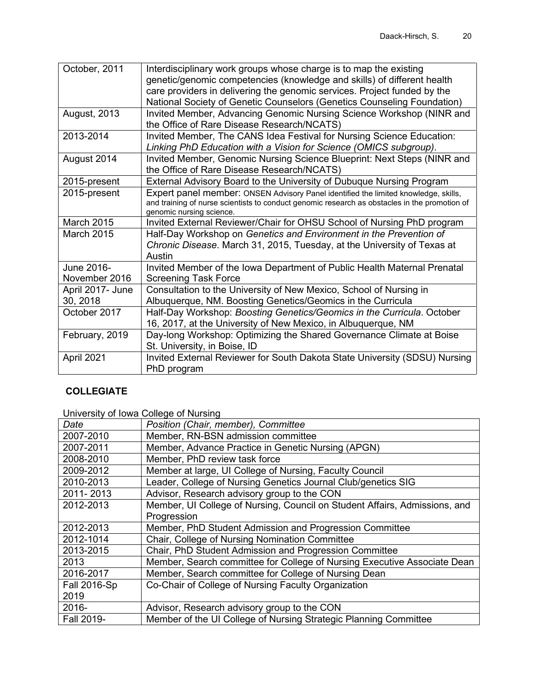| October, 2011       | Interdisciplinary work groups whose charge is to map the existing                                                  |
|---------------------|--------------------------------------------------------------------------------------------------------------------|
|                     | genetic/genomic competencies (knowledge and skills) of different health                                            |
|                     | care providers in delivering the genomic services. Project funded by the                                           |
|                     | National Society of Genetic Counselors (Genetics Counseling Foundation)                                            |
| <b>August, 2013</b> | Invited Member, Advancing Genomic Nursing Science Workshop (NINR and<br>the Office of Rare Disease Research/NCATS) |
| 2013-2014           | Invited Member, The CANS Idea Festival for Nursing Science Education:                                              |
|                     | Linking PhD Education with a Vision for Science (OMICS subgroup).                                                  |
| August 2014         | Invited Member, Genomic Nursing Science Blueprint: Next Steps (NINR and                                            |
|                     | the Office of Rare Disease Research/NCATS)                                                                         |
| 2015-present        | External Advisory Board to the University of Dubuque Nursing Program                                               |
| 2015-present        | Expert panel member: ONSEN Advisory Panel identified the limited knowledge, skills,                                |
|                     | and training of nurse scientists to conduct genomic research as obstacles in the promotion of                      |
|                     | genomic nursing science.                                                                                           |
| <b>March 2015</b>   | Invited External Reviewer/Chair for OHSU School of Nursing PhD program                                             |
| <b>March 2015</b>   | Half-Day Workshop on Genetics and Environment in the Prevention of                                                 |
|                     | Chronic Disease. March 31, 2015, Tuesday, at the University of Texas at                                            |
|                     | Austin                                                                                                             |
| June 2016-          | Invited Member of the Iowa Department of Public Health Maternal Prenatal                                           |
| November 2016       | <b>Screening Task Force</b>                                                                                        |
| April 2017- June    | Consultation to the University of New Mexico, School of Nursing in                                                 |
| 30, 2018            | Albuquerque, NM. Boosting Genetics/Geomics in the Curricula                                                        |
| October 2017        | Half-Day Workshop: Boosting Genetics/Geomics in the Curricula. October                                             |
|                     | 16, 2017, at the University of New Mexico, in Albuquerque, NM                                                      |
| February, 2019      | Day-long Workshop: Optimizing the Shared Governance Climate at Boise                                               |
|                     | St. University, in Boise, ID                                                                                       |
| April 2021          | Invited External Reviewer for South Dakota State University (SDSU) Nursing                                         |
|                     | PhD program                                                                                                        |
|                     |                                                                                                                    |

# **COLLEGIATE**

University of Iowa College of Nursing

| Date                | Position (Chair, member), Committee                                        |  |  |  |
|---------------------|----------------------------------------------------------------------------|--|--|--|
| 2007-2010           | Member, RN-BSN admission committee                                         |  |  |  |
| 2007-2011           | Member, Advance Practice in Genetic Nursing (APGN)                         |  |  |  |
| 2008-2010           | Member, PhD review task force                                              |  |  |  |
| 2009-2012           | Member at large, UI College of Nursing, Faculty Council                    |  |  |  |
| 2010-2013           | Leader, College of Nursing Genetics Journal Club/genetics SIG              |  |  |  |
| 2011-2013           | Advisor, Research advisory group to the CON                                |  |  |  |
| 2012-2013           | Member, UI College of Nursing, Council on Student Affairs, Admissions, and |  |  |  |
|                     | Progression                                                                |  |  |  |
| 2012-2013           | Member, PhD Student Admission and Progression Committee                    |  |  |  |
| 2012-1014           | Chair, College of Nursing Nomination Committee                             |  |  |  |
| 2013-2015           | Chair, PhD Student Admission and Progression Committee                     |  |  |  |
| 2013                | Member, Search committee for College of Nursing Executive Associate Dean   |  |  |  |
| 2016-2017           | Member, Search committee for College of Nursing Dean                       |  |  |  |
| <b>Fall 2016-Sp</b> | Co-Chair of College of Nursing Faculty Organization                        |  |  |  |
| 2019                |                                                                            |  |  |  |
| 2016-               | Advisor, Research advisory group to the CON                                |  |  |  |
| Fall 2019-          | Member of the UI College of Nursing Strategic Planning Committee           |  |  |  |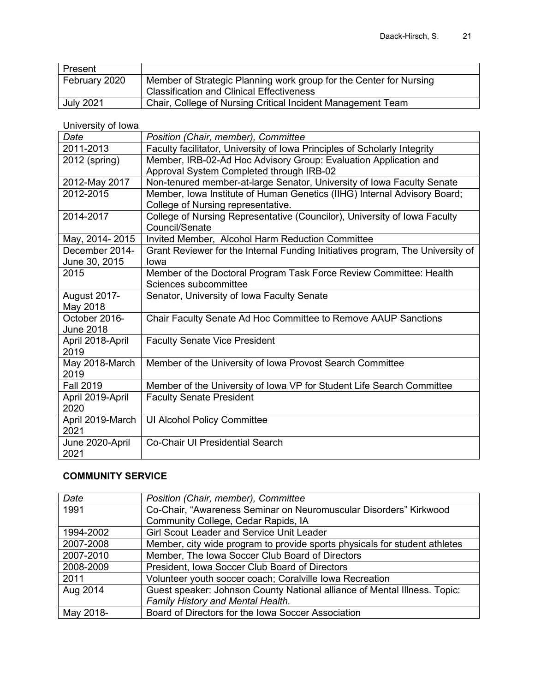| Present          |                                                                                                                        |
|------------------|------------------------------------------------------------------------------------------------------------------------|
| February 2020    | Member of Strategic Planning work group for the Center for Nursing<br><b>Classification and Clinical Effectiveness</b> |
|                  |                                                                                                                        |
| <b>July 2021</b> | Chair, College of Nursing Critical Incident Management Team                                                            |

University of Iowa

| Date             | Position (Chair, member), Committee                                            |  |  |  |  |
|------------------|--------------------------------------------------------------------------------|--|--|--|--|
| 2011-2013        | Faculty facilitator, University of Iowa Principles of Scholarly Integrity      |  |  |  |  |
| 2012 (spring)    | Member, IRB-02-Ad Hoc Advisory Group: Evaluation Application and               |  |  |  |  |
|                  | Approval System Completed through IRB-02                                       |  |  |  |  |
| 2012-May 2017    | Non-tenured member-at-large Senator, University of Iowa Faculty Senate         |  |  |  |  |
| 2012-2015        | Member, Iowa Institute of Human Genetics (IIHG) Internal Advisory Board;       |  |  |  |  |
|                  | College of Nursing representative.                                             |  |  |  |  |
| 2014-2017        | College of Nursing Representative (Councilor), University of Iowa Faculty      |  |  |  |  |
|                  | Council/Senate                                                                 |  |  |  |  |
| May, 2014-2015   | Invited Member, Alcohol Harm Reduction Committee                               |  |  |  |  |
| December 2014-   | Grant Reviewer for the Internal Funding Initiatives program, The University of |  |  |  |  |
| June 30, 2015    | Iowa                                                                           |  |  |  |  |
| 2015             | Member of the Doctoral Program Task Force Review Committee: Health             |  |  |  |  |
|                  | Sciences subcommittee                                                          |  |  |  |  |
| August 2017-     | Senator, University of Iowa Faculty Senate                                     |  |  |  |  |
| May 2018         |                                                                                |  |  |  |  |
| October 2016-    | Chair Faculty Senate Ad Hoc Committee to Remove AAUP Sanctions                 |  |  |  |  |
| <b>June 2018</b> |                                                                                |  |  |  |  |
| April 2018-April | <b>Faculty Senate Vice President</b>                                           |  |  |  |  |
| 2019             |                                                                                |  |  |  |  |
| May 2018-March   | Member of the University of Iowa Provost Search Committee                      |  |  |  |  |
| 2019             |                                                                                |  |  |  |  |
| <b>Fall 2019</b> | Member of the University of Iowa VP for Student Life Search Committee          |  |  |  |  |
| April 2019-April | <b>Faculty Senate President</b>                                                |  |  |  |  |
| 2020             |                                                                                |  |  |  |  |
| April 2019-March | UI Alcohol Policy Committee                                                    |  |  |  |  |
| 2021             |                                                                                |  |  |  |  |
| June 2020-April  | Co-Chair UI Presidential Search                                                |  |  |  |  |
| 2021             |                                                                                |  |  |  |  |

## **COMMUNITY SERVICE**

| Date      | Position (Chair, member), Committee                                        |  |  |
|-----------|----------------------------------------------------------------------------|--|--|
| 1991      | Co-Chair, "Awareness Seminar on Neuromuscular Disorders" Kirkwood          |  |  |
|           | Community College, Cedar Rapids, IA                                        |  |  |
| 1994-2002 | Girl Scout Leader and Service Unit Leader                                  |  |  |
| 2007-2008 | Member, city wide program to provide sports physicals for student athletes |  |  |
| 2007-2010 | Member, The Iowa Soccer Club Board of Directors                            |  |  |
| 2008-2009 | President, Iowa Soccer Club Board of Directors                             |  |  |
| 2011      | Volunteer youth soccer coach; Coralville Iowa Recreation                   |  |  |
| Aug 2014  | Guest speaker: Johnson County National alliance of Mental Illness. Topic:  |  |  |
|           | Family History and Mental Health.                                          |  |  |
| May 2018- | Board of Directors for the Iowa Soccer Association                         |  |  |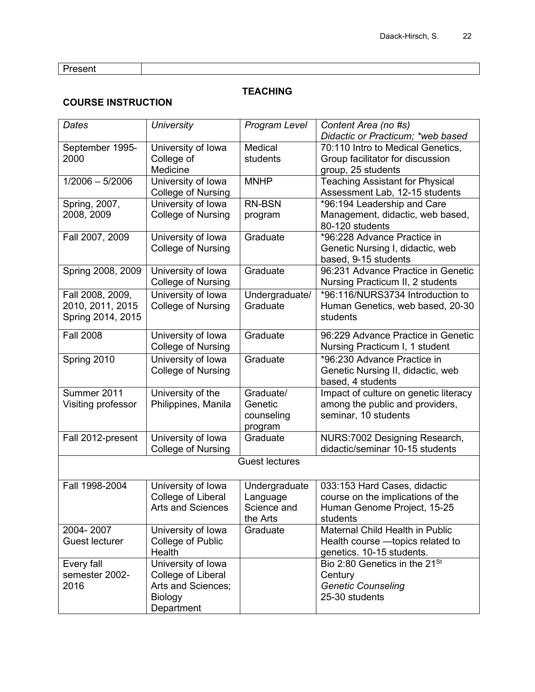**Present** 

### **TEACHING**

## **COURSE INSTRUCTION**

| Dates                 | <b>University</b>         | Program Level         | Content Area (no #s)                      |  |
|-----------------------|---------------------------|-----------------------|-------------------------------------------|--|
|                       |                           |                       | Didactic or Practicum; *web based         |  |
| September 1995-       | University of Iowa        | Medical               | 70:110 Intro to Medical Genetics,         |  |
| 2000                  | College of                | students              | Group facilitator for discussion          |  |
|                       | Medicine                  |                       | group, 25 students                        |  |
| $1/2006 - 5/2006$     | University of Iowa        | <b>MNHP</b>           | <b>Teaching Assistant for Physical</b>    |  |
|                       | <b>College of Nursing</b> |                       | Assessment Lab, 12-15 students            |  |
| Spring, 2007,         | University of Iowa        | <b>RN-BSN</b>         | *96:194 Leadership and Care               |  |
| 2008, 2009            | College of Nursing        | program               | Management, didactic, web based,          |  |
|                       |                           |                       | 80-120 students                           |  |
| Fall 2007, 2009       | University of Iowa        | Graduate              | *96:228 Advance Practice in               |  |
|                       | College of Nursing        |                       | Genetic Nursing I, didactic, web          |  |
|                       |                           |                       | based, 9-15 students                      |  |
| Spring 2008, 2009     | University of Iowa        | Graduate              | 96:231 Advance Practice in Genetic        |  |
|                       | <b>College of Nursing</b> |                       | Nursing Practicum II, 2 students          |  |
| Fall 2008, 2009,      | University of Iowa        | Undergraduate/        | *96:116/NURS3734 Introduction to          |  |
| 2010, 2011, 2015      | College of Nursing        | Graduate              | Human Genetics, web based, 20-30          |  |
| Spring 2014, 2015     |                           |                       | students                                  |  |
| <b>Fall 2008</b>      | University of Iowa        | Graduate              | 96:229 Advance Practice in Genetic        |  |
|                       | <b>College of Nursing</b> |                       | Nursing Practicum I, 1 student            |  |
| Spring 2010           | University of Iowa        | Graduate              | *96:230 Advance Practice in               |  |
|                       | College of Nursing        |                       | Genetic Nursing II, didactic, web         |  |
|                       |                           |                       | based, 4 students                         |  |
| Summer 2011           | University of the         | Graduate/             | Impact of culture on genetic literacy     |  |
| Visiting professor    | Philippines, Manila       | Genetic               | among the public and providers,           |  |
|                       |                           | counseling            | seminar, 10 students                      |  |
|                       |                           | program               |                                           |  |
| Fall 2012-present     | University of Iowa        | Graduate              | NURS:7002 Designing Research,             |  |
|                       | <b>College of Nursing</b> |                       | didactic/seminar 10-15 students           |  |
|                       |                           | <b>Guest lectures</b> |                                           |  |
|                       |                           |                       |                                           |  |
| Fall 1998-2004        | University of Iowa        | Undergraduate         | 033:153 Hard Cases, didactic              |  |
|                       | College of Liberal        | Language              | course on the implications of the         |  |
|                       | <b>Arts and Sciences</b>  | Science and           | Human Genome Project, 15-25               |  |
|                       |                           | the Arts              | students                                  |  |
| 2004-2007             | University of Iowa        | Graduate              | Maternal Child Health in Public           |  |
| <b>Guest lecturer</b> | College of Public         |                       | Health course - topics related to         |  |
|                       | Health                    |                       | genetics. 10-15 students.                 |  |
| Every fall            | University of Iowa        |                       | Bio 2:80 Genetics in the 21 <sup>St</sup> |  |
| semester 2002-        | College of Liberal        |                       | Century                                   |  |
| 2016                  | Arts and Sciences;        |                       | <b>Genetic Counseling</b>                 |  |
|                       | Biology                   |                       | 25-30 students                            |  |
|                       | Department                |                       |                                           |  |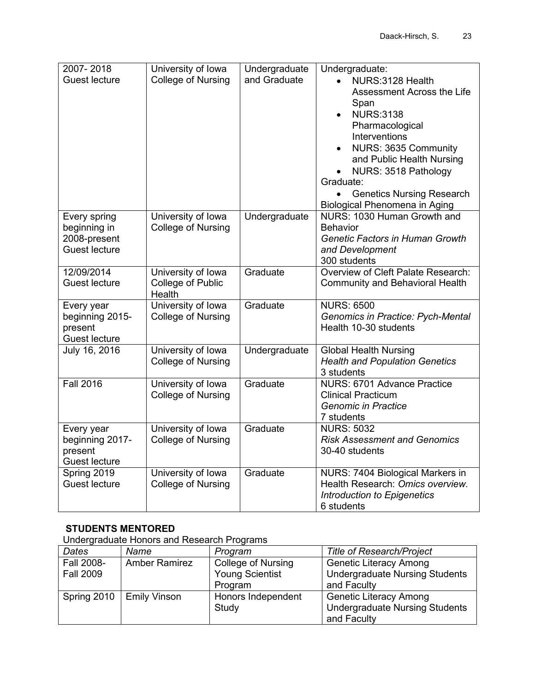| 2007-2018                            | University of Iowa        | Undergraduate | Undergraduate:                                            |
|--------------------------------------|---------------------------|---------------|-----------------------------------------------------------|
| <b>Guest lecture</b>                 | College of Nursing        | and Graduate  | NURS:3128 Health<br>$\bullet$                             |
|                                      |                           |               | Assessment Across the Life                                |
|                                      |                           |               | Span                                                      |
|                                      |                           |               | <b>NURS:3138</b><br>$\bullet$                             |
|                                      |                           |               | Pharmacological                                           |
|                                      |                           |               | Interventions                                             |
|                                      |                           |               | NURS: 3635 Community<br>$\bullet$                         |
|                                      |                           |               | and Public Health Nursing                                 |
|                                      |                           |               | NURS: 3518 Pathology<br>$\bullet$                         |
|                                      |                           |               | Graduate:                                                 |
|                                      |                           |               | <b>Genetics Nursing Research</b><br>$\bullet$             |
|                                      |                           |               | Biological Phenomena in Aging                             |
| Every spring                         | University of Iowa        | Undergraduate | NURS: 1030 Human Growth and                               |
| beginning in                         | College of Nursing        |               | <b>Behavior</b><br><b>Genetic Factors in Human Growth</b> |
| 2008-present<br><b>Guest lecture</b> |                           |               | and Development                                           |
|                                      |                           |               | 300 students                                              |
| 12/09/2014                           | University of Iowa        | Graduate      | Overview of Cleft Palate Research:                        |
| <b>Guest lecture</b>                 | College of Public         |               | <b>Community and Behavioral Health</b>                    |
|                                      | Health                    |               |                                                           |
| Every year                           | University of Iowa        | Graduate      | <b>NURS: 6500</b>                                         |
| beginning 2015-                      | College of Nursing        |               | <b>Genomics in Practice: Pych-Mental</b>                  |
| present                              |                           |               | Health 10-30 students                                     |
| <b>Guest lecture</b>                 |                           |               |                                                           |
| July 16, 2016                        | University of Iowa        | Undergraduate | <b>Global Health Nursing</b>                              |
|                                      | College of Nursing        |               | <b>Health and Population Genetics</b>                     |
|                                      |                           |               | 3 students                                                |
| <b>Fall 2016</b>                     | University of Iowa        | Graduate      | NURS: 6701 Advance Practice                               |
|                                      | <b>College of Nursing</b> |               | <b>Clinical Practicum</b>                                 |
|                                      |                           |               | <b>Genomic in Practice</b>                                |
|                                      |                           | Graduate      | 7 students                                                |
| Every year                           | University of Iowa        |               | <b>NURS: 5032</b><br><b>Risk Assessment and Genomics</b>  |
| beginning 2017-<br>present           | College of Nursing        |               | 30-40 students                                            |
| <b>Guest lecture</b>                 |                           |               |                                                           |
| Spring 2019                          | University of Iowa        | Graduate      | NURS: 7404 Biological Markers in                          |
| <b>Guest lecture</b>                 | College of Nursing        |               | Health Research: Omics overview.                          |
|                                      |                           |               | Introduction to Epigenetics                               |
|                                      |                           |               | 6 students                                                |

# **STUDENTS MENTORED**

Undergraduate Honors and Research Programs

| Dates            | Name                 | Program                   | <b>Title of Research/Project</b>      |
|------------------|----------------------|---------------------------|---------------------------------------|
| Fall 2008-       | <b>Amber Ramirez</b> | <b>College of Nursing</b> | <b>Genetic Literacy Among</b>         |
| <b>Fall 2009</b> |                      | <b>Young Scientist</b>    | <b>Undergraduate Nursing Students</b> |
|                  |                      | Program                   | and Faculty                           |
| Spring 2010      | Emily Vinson         | Honors Independent        | <b>Genetic Literacy Among</b>         |
|                  |                      | Study                     | <b>Undergraduate Nursing Students</b> |
|                  |                      |                           | and Faculty                           |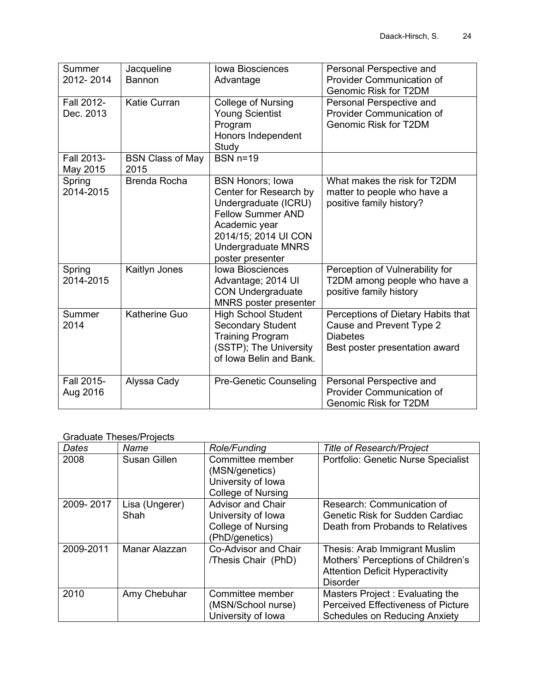| Summer<br>2012-2014     | Jacqueline<br>Bannon            | <b>Iowa Biosciences</b><br>Advantage                                                                                                                                                            | Personal Perspective and<br><b>Provider Communication of</b><br><b>Genomic Risk for T2DM</b>                        |
|-------------------------|---------------------------------|-------------------------------------------------------------------------------------------------------------------------------------------------------------------------------------------------|---------------------------------------------------------------------------------------------------------------------|
| Fall 2012-<br>Dec. 2013 | <b>Katie Curran</b>             | College of Nursing<br><b>Young Scientist</b><br>Program<br>Honors Independent<br>Study                                                                                                          | Personal Perspective and<br><b>Provider Communication of</b><br><b>Genomic Risk for T2DM</b>                        |
| Fall 2013-<br>May 2015  | <b>BSN Class of May</b><br>2015 | $BSN n=19$                                                                                                                                                                                      |                                                                                                                     |
| Spring<br>2014-2015     | <b>Brenda Rocha</b>             | <b>BSN Honors; Iowa</b><br>Center for Research by<br>Undergraduate (ICRU)<br><b>Fellow Summer AND</b><br>Academic year<br>2014/15; 2014 UI CON<br><b>Undergraduate MNRS</b><br>poster presenter | What makes the risk for T2DM<br>matter to people who have a<br>positive family history?                             |
| Spring<br>2014-2015     | Kaitlyn Jones                   | <b>Iowa Biosciences</b><br>Advantage; 2014 UI<br><b>CON Undergraduate</b><br>MNRS poster presenter                                                                                              | Perception of Vulnerability for<br>T2DM among people who have a<br>positive family history                          |
| Summer<br>2014          | <b>Katherine Guo</b>            | <b>High School Student</b><br><b>Secondary Student</b><br><b>Training Program</b><br>(SSTP); The University<br>of Iowa Belin and Bank.                                                          | Perceptions of Dietary Habits that<br>Cause and Prevent Type 2<br><b>Diabetes</b><br>Best poster presentation award |
| Fall 2015-<br>Aug 2016  | Alyssa Cady                     | <b>Pre-Genetic Counseling</b>                                                                                                                                                                   | Personal Perspective and<br><b>Provider Communication of</b><br><b>Genomic Risk for T2DM</b>                        |

#### Graduate Theses/Projects

| Dates     | Name                   | Role/Funding                                                                           | <b>Title of Research/Project</b>                                                                                                 |
|-----------|------------------------|----------------------------------------------------------------------------------------|----------------------------------------------------------------------------------------------------------------------------------|
| 2008      | Susan Gillen           | Committee member<br>(MSN/genetics)<br>University of Iowa<br>College of Nursing         | Portfolio: Genetic Nurse Specialist                                                                                              |
| 2009-2017 | Lisa (Ungerer)<br>Shah | <b>Advisor and Chair</b><br>University of Iowa<br>College of Nursing<br>(PhD/genetics) | Research: Communication of<br><b>Genetic Risk for Sudden Cardiac</b><br>Death from Probands to Relatives                         |
| 2009-2011 | Manar Alazzan          | Co-Advisor and Chair<br>/Thesis Chair (PhD)                                            | Thesis: Arab Immigrant Muslim<br>Mothers' Perceptions of Children's<br><b>Attention Deficit Hyperactivity</b><br><b>Disorder</b> |
| 2010      | Amy Chebuhar           | Committee member<br>(MSN/School nurse)<br>University of Iowa                           | Masters Project: Evaluating the<br><b>Perceived Effectiveness of Picture</b><br><b>Schedules on Reducing Anxiety</b>             |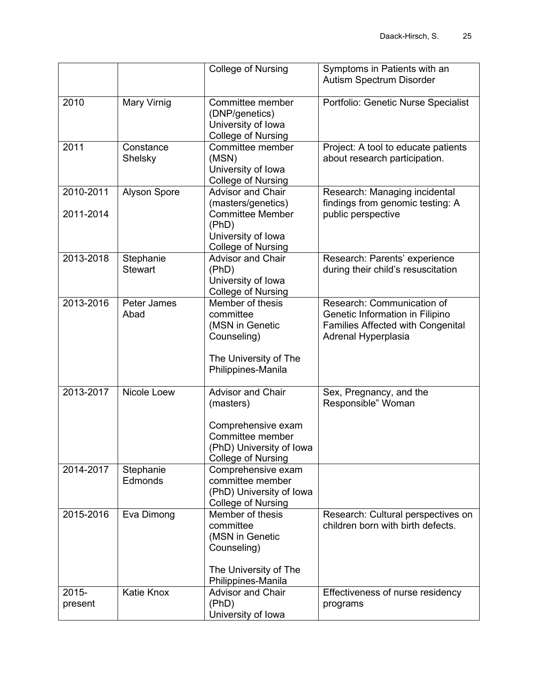|                        |                             | <b>College of Nursing</b>                                                                                                             | Symptoms in Patients with an<br><b>Autism Spectrum Disorder</b>                                                                  |
|------------------------|-----------------------------|---------------------------------------------------------------------------------------------------------------------------------------|----------------------------------------------------------------------------------------------------------------------------------|
| 2010                   | Mary Virnig                 | Committee member<br>(DNP/genetics)<br>University of Iowa<br><b>College of Nursing</b>                                                 | Portfolio: Genetic Nurse Specialist                                                                                              |
| 2011                   | Constance<br>Shelsky        | Committee member<br>(MSN)<br>University of Iowa<br><b>College of Nursing</b>                                                          | Project: A tool to educate patients<br>about research participation.                                                             |
| 2010-2011<br>2011-2014 | <b>Alyson Spore</b>         | <b>Advisor and Chair</b><br>(masters/genetics)<br><b>Committee Member</b><br>(PhD)<br>University of Iowa<br><b>College of Nursing</b> | Research: Managing incidental<br>findings from genomic testing: A<br>public perspective                                          |
| 2013-2018              | Stephanie<br><b>Stewart</b> | <b>Advisor and Chair</b><br>(PhD)<br>University of Iowa<br><b>College of Nursing</b>                                                  | Research: Parents' experience<br>during their child's resuscitation                                                              |
| 2013-2016              | Peter James<br>Abad         | Member of thesis<br>committee<br>(MSN in Genetic<br>Counseling)<br>The University of The<br>Philippines-Manila                        | Research: Communication of<br>Genetic Information in Filipino<br><b>Families Affected with Congenital</b><br>Adrenal Hyperplasia |
| 2013-2017              | Nicole Loew                 | <b>Advisor and Chair</b><br>(masters)<br>Comprehensive exam<br>Committee member<br>(PhD) University of Iowa<br>College of Nursing     | Sex, Pregnancy, and the<br>Responsible" Woman                                                                                    |
| 2014-2017              | Stephanie<br>Edmonds        | Comprehensive exam<br>committee member<br>(PhD) University of Iowa<br><b>College of Nursing</b>                                       |                                                                                                                                  |
| 2015-2016              | Eva Dimong                  | Member of thesis<br>committee<br>(MSN in Genetic<br>Counseling)<br>The University of The<br>Philippines-Manila                        | Research: Cultural perspectives on<br>children born with birth defects.                                                          |
| 2015-<br>present       | Katie Knox                  | <b>Advisor and Chair</b><br>(PhD)<br>University of Iowa                                                                               | Effectiveness of nurse residency<br>programs                                                                                     |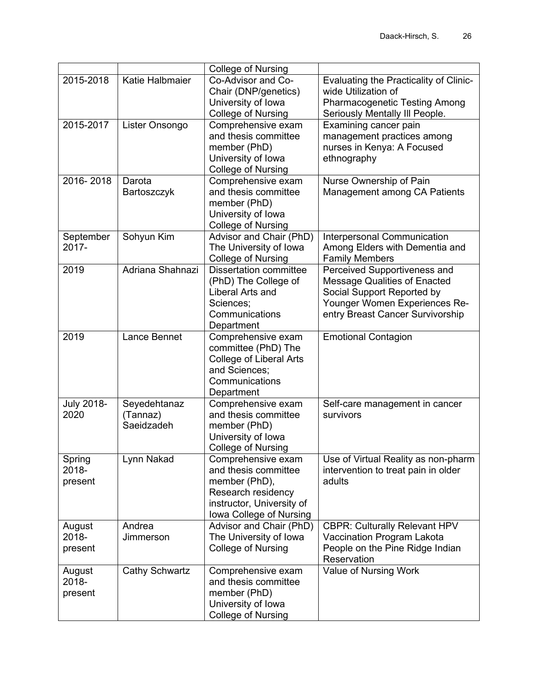|                            |                                        | <b>College of Nursing</b>                                                                                                                 |                                                                                                                                                                        |
|----------------------------|----------------------------------------|-------------------------------------------------------------------------------------------------------------------------------------------|------------------------------------------------------------------------------------------------------------------------------------------------------------------------|
| 2015-2018                  | Katie Halbmaier                        | Co-Advisor and Co-<br>Chair (DNP/genetics)<br>University of Iowa<br><b>College of Nursing</b>                                             | Evaluating the Practicality of Clinic-<br>wide Utilization of<br><b>Pharmacogenetic Testing Among</b>                                                                  |
| 2015-2017                  | Lister Onsongo                         | Comprehensive exam<br>and thesis committee<br>member (PhD)<br>University of Iowa<br><b>College of Nursing</b>                             | Seriously Mentally III People.<br>Examining cancer pain<br>management practices among<br>nurses in Kenya: A Focused<br>ethnography                                     |
| 2016-2018                  | Darota<br>Bartoszczyk                  | Comprehensive exam<br>and thesis committee<br>member (PhD)<br>University of Iowa<br><b>College of Nursing</b>                             | Nurse Ownership of Pain<br>Management among CA Patients                                                                                                                |
| September<br>2017-         | Sohyun Kim                             | Advisor and Chair (PhD)<br>The University of Iowa<br><b>College of Nursing</b>                                                            | Interpersonal Communication<br>Among Elders with Dementia and<br><b>Family Members</b>                                                                                 |
| 2019                       | Adriana Shahnazi                       | <b>Dissertation committee</b><br>(PhD) The College of<br>Liberal Arts and<br>Sciences;<br>Communications<br>Department                    | Perceived Supportiveness and<br><b>Message Qualities of Enacted</b><br>Social Support Reported by<br>Younger Women Experiences Re-<br>entry Breast Cancer Survivorship |
| 2019                       | Lance Bennet                           | Comprehensive exam<br>committee (PhD) The<br><b>College of Liberal Arts</b><br>and Sciences;<br>Communications<br>Department              | <b>Emotional Contagion</b>                                                                                                                                             |
| <b>July 2018-</b><br>2020  | Seyedehtanaz<br>(Tannaz)<br>Saeidzadeh | Comprehensive exam<br>and thesis committee<br>member (PhD)<br>University of Iowa<br>College of Nursing                                    | Self-care management in cancer<br>survivors                                                                                                                            |
| Spring<br>2018-<br>present | Lynn Nakad                             | Comprehensive exam<br>and thesis committee<br>member (PhD),<br>Research residency<br>instructor, University of<br>Iowa College of Nursing | Use of Virtual Reality as non-pharm<br>intervention to treat pain in older<br>adults                                                                                   |
| August<br>2018-<br>present | Andrea<br>Jimmerson                    | Advisor and Chair (PhD)<br>The University of Iowa<br>College of Nursing                                                                   | <b>CBPR: Culturally Relevant HPV</b><br>Vaccination Program Lakota<br>People on the Pine Ridge Indian<br>Reservation                                                   |
| August<br>2018-<br>present | Cathy Schwartz                         | Comprehensive exam<br>and thesis committee<br>member (PhD)<br>University of Iowa<br><b>College of Nursing</b>                             | Value of Nursing Work                                                                                                                                                  |